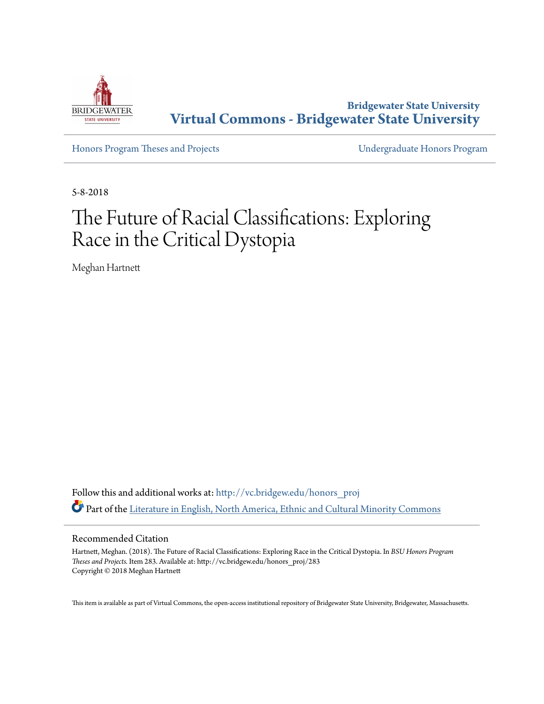

**Bridgewater State University [Virtual Commons - Bridgewater State University](http://vc.bridgew.edu?utm_source=vc.bridgew.edu%2Fhonors_proj%2F283&utm_medium=PDF&utm_campaign=PDFCoverPages)**

[Honors Program Theses and Projects](http://vc.bridgew.edu/honors_proj?utm_source=vc.bridgew.edu%2Fhonors_proj%2F283&utm_medium=PDF&utm_campaign=PDFCoverPages) [Undergraduate Honors Program](http://vc.bridgew.edu/honors?utm_source=vc.bridgew.edu%2Fhonors_proj%2F283&utm_medium=PDF&utm_campaign=PDFCoverPages)

5-8-2018

# The Future of Racial Classifications: Exploring Race in the Critical Dystopia

Meghan Hartnett

Follow this and additional works at: [http://vc.bridgew.edu/honors\\_proj](http://vc.bridgew.edu/honors_proj?utm_source=vc.bridgew.edu%2Fhonors_proj%2F283&utm_medium=PDF&utm_campaign=PDFCoverPages) Part of the [Literature in English, North America, Ethnic and Cultural Minority Commons](http://network.bepress.com/hgg/discipline/459?utm_source=vc.bridgew.edu%2Fhonors_proj%2F283&utm_medium=PDF&utm_campaign=PDFCoverPages)

## Recommended Citation

Hartnett, Meghan. (2018). The Future of Racial Classifications: Exploring Race in the Critical Dystopia. In *BSU Honors Program Theses and Projects.* Item 283. Available at: http://vc.bridgew.edu/honors\_proj/283 Copyright © 2018 Meghan Hartnett

This item is available as part of Virtual Commons, the open-access institutional repository of Bridgewater State University, Bridgewater, Massachusetts.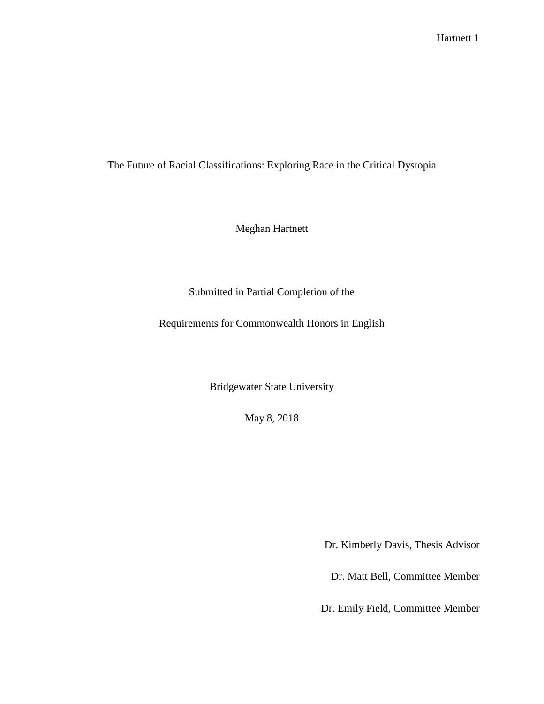The Future of Racial Classifications: Exploring Race in the Critical Dystopia

Meghan Hartnett

## Submitted in Partial Completion of the

Requirements for Commonwealth Honors in English

Bridgewater State University

May 8, 2018

Dr. Kimberly Davis, Thesis Advisor

Dr. Matt Bell, Committee Member

Dr. Emily Field, Committee Member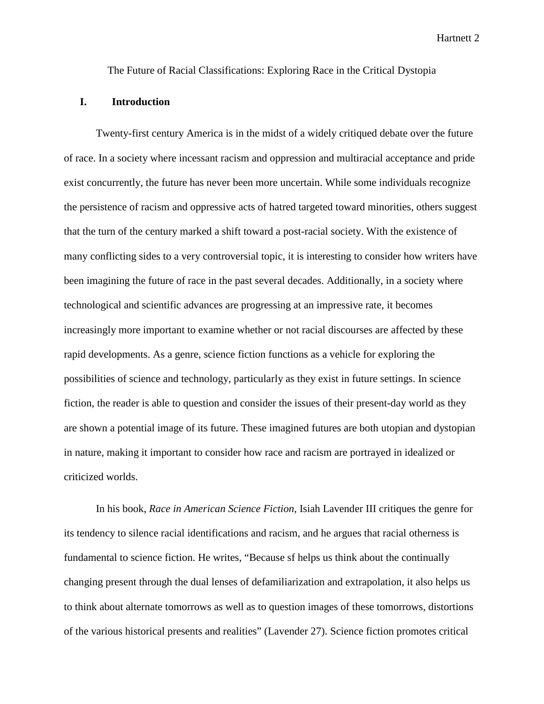The Future of Racial Classifications: Exploring Race in the Critical Dystopia

### **I. Introduction**

Twenty-first century America is in the midst of a widely critiqued debate over the future of race. In a society where incessant racism and oppression and multiracial acceptance and pride exist concurrently, the future has never been more uncertain. While some individuals recognize the persistence of racism and oppressive acts of hatred targeted toward minorities, others suggest that the turn of the century marked a shift toward a post-racial society. With the existence of many conflicting sides to a very controversial topic, it is interesting to consider how writers have been imagining the future of race in the past several decades. Additionally, in a society where technological and scientific advances are progressing at an impressive rate, it becomes increasingly more important to examine whether or not racial discourses are affected by these rapid developments. As a genre, science fiction functions as a vehicle for exploring the possibilities of science and technology, particularly as they exist in future settings. In science fiction, the reader is able to question and consider the issues of their present-day world as they are shown a potential image of its future. These imagined futures are both utopian and dystopian in nature, making it important to consider how race and racism are portrayed in idealized or criticized worlds.

In his book, *Race in American Science Fiction*, Isiah Lavender III critiques the genre for its tendency to silence racial identifications and racism, and he argues that racial otherness is fundamental to science fiction. He writes, "Because sf helps us think about the continually changing present through the dual lenses of defamiliarization and extrapolation, it also helps us to think about alternate tomorrows as well as to question images of these tomorrows, distortions of the various historical presents and realities" (Lavender 27). Science fiction promotes critical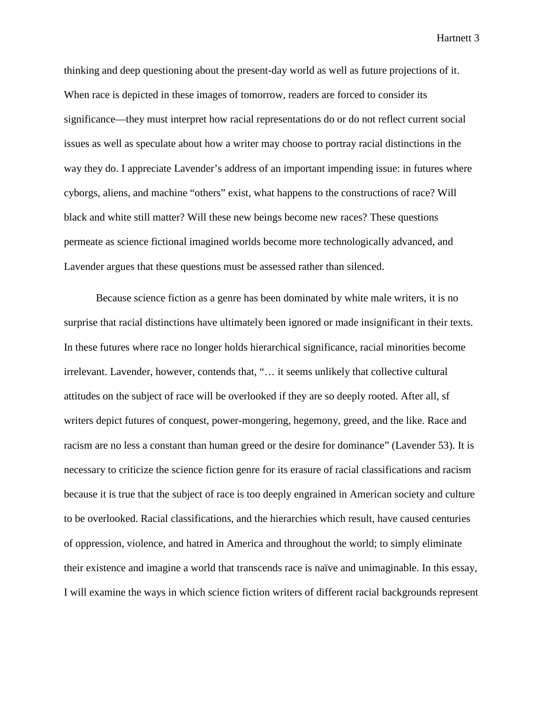thinking and deep questioning about the present-day world as well as future projections of it. When race is depicted in these images of tomorrow, readers are forced to consider its significance—they must interpret how racial representations do or do not reflect current social issues as well as speculate about how a writer may choose to portray racial distinctions in the way they do. I appreciate Lavender's address of an important impending issue: in futures where cyborgs, aliens, and machine "others" exist, what happens to the constructions of race? Will black and white still matter? Will these new beings become new races? These questions permeate as science fictional imagined worlds become more technologically advanced, and Lavender argues that these questions must be assessed rather than silenced.

Because science fiction as a genre has been dominated by white male writers, it is no surprise that racial distinctions have ultimately been ignored or made insignificant in their texts. In these futures where race no longer holds hierarchical significance, racial minorities become irrelevant. Lavender, however, contends that, "… it seems unlikely that collective cultural attitudes on the subject of race will be overlooked if they are so deeply rooted. After all, sf writers depict futures of conquest, power-mongering, hegemony, greed, and the like. Race and racism are no less a constant than human greed or the desire for dominance" (Lavender 53). It is necessary to criticize the science fiction genre for its erasure of racial classifications and racism because it is true that the subject of race is too deeply engrained in American society and culture to be overlooked. Racial classifications, and the hierarchies which result, have caused centuries of oppression, violence, and hatred in America and throughout the world; to simply eliminate their existence and imagine a world that transcends race is naïve and unimaginable. In this essay, I will examine the ways in which science fiction writers of different racial backgrounds represent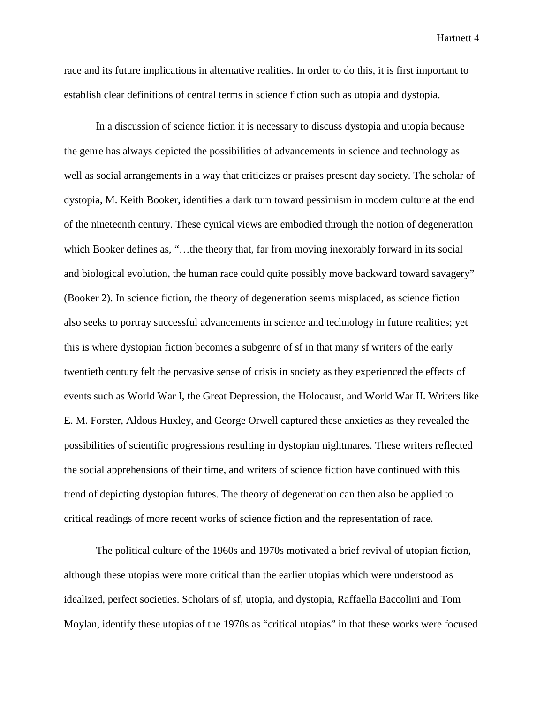race and its future implications in alternative realities. In order to do this, it is first important to establish clear definitions of central terms in science fiction such as utopia and dystopia.

In a discussion of science fiction it is necessary to discuss dystopia and utopia because the genre has always depicted the possibilities of advancements in science and technology as well as social arrangements in a way that criticizes or praises present day society. The scholar of dystopia, M. Keith Booker, identifies a dark turn toward pessimism in modern culture at the end of the nineteenth century. These cynical views are embodied through the notion of degeneration which Booker defines as, "...the theory that, far from moving inexorably forward in its social and biological evolution, the human race could quite possibly move backward toward savagery" (Booker 2). In science fiction, the theory of degeneration seems misplaced, as science fiction also seeks to portray successful advancements in science and technology in future realities; yet this is where dystopian fiction becomes a subgenre of sf in that many sf writers of the early twentieth century felt the pervasive sense of crisis in society as they experienced the effects of events such as World War I, the Great Depression, the Holocaust, and World War II. Writers like E. M. Forster, Aldous Huxley, and George Orwell captured these anxieties as they revealed the possibilities of scientific progressions resulting in dystopian nightmares. These writers reflected the social apprehensions of their time, and writers of science fiction have continued with this trend of depicting dystopian futures. The theory of degeneration can then also be applied to critical readings of more recent works of science fiction and the representation of race.

The political culture of the 1960s and 1970s motivated a brief revival of utopian fiction, although these utopias were more critical than the earlier utopias which were understood as idealized, perfect societies. Scholars of sf, utopia, and dystopia, Raffaella Baccolini and Tom Moylan, identify these utopias of the 1970s as "critical utopias" in that these works were focused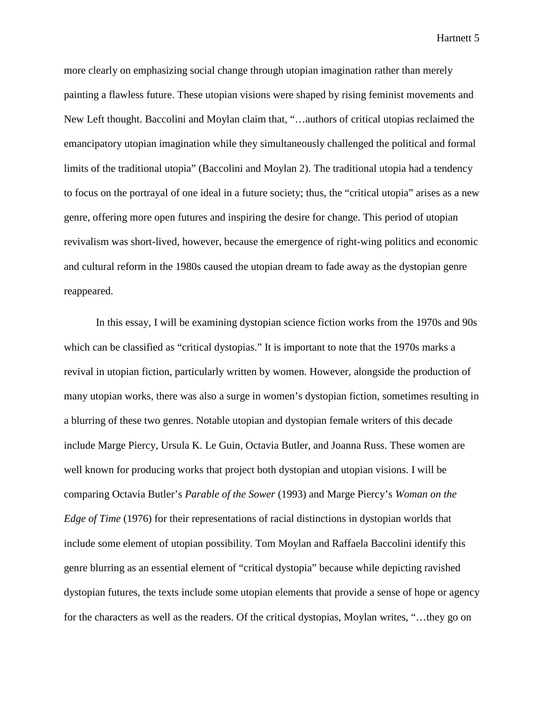more clearly on emphasizing social change through utopian imagination rather than merely painting a flawless future. These utopian visions were shaped by rising feminist movements and New Left thought. Baccolini and Moylan claim that, "…authors of critical utopias reclaimed the emancipatory utopian imagination while they simultaneously challenged the political and formal limits of the traditional utopia" (Baccolini and Moylan 2). The traditional utopia had a tendency to focus on the portrayal of one ideal in a future society; thus, the "critical utopia" arises as a new genre, offering more open futures and inspiring the desire for change. This period of utopian revivalism was short-lived, however, because the emergence of right-wing politics and economic and cultural reform in the 1980s caused the utopian dream to fade away as the dystopian genre reappeared.

In this essay, I will be examining dystopian science fiction works from the 1970s and 90s which can be classified as "critical dystopias." It is important to note that the 1970s marks a revival in utopian fiction, particularly written by women. However, alongside the production of many utopian works, there was also a surge in women's dystopian fiction, sometimes resulting in a blurring of these two genres. Notable utopian and dystopian female writers of this decade include Marge Piercy, Ursula K. Le Guin, Octavia Butler, and Joanna Russ. These women are well known for producing works that project both dystopian and utopian visions. I will be comparing Octavia Butler's *Parable of the Sower* (1993) and Marge Piercy's *Woman on the Edge of Time* (1976) for their representations of racial distinctions in dystopian worlds that include some element of utopian possibility. Tom Moylan and Raffaela Baccolini identify this genre blurring as an essential element of "critical dystopia" because while depicting ravished dystopian futures, the texts include some utopian elements that provide a sense of hope or agency for the characters as well as the readers. Of the critical dystopias, Moylan writes, "…they go on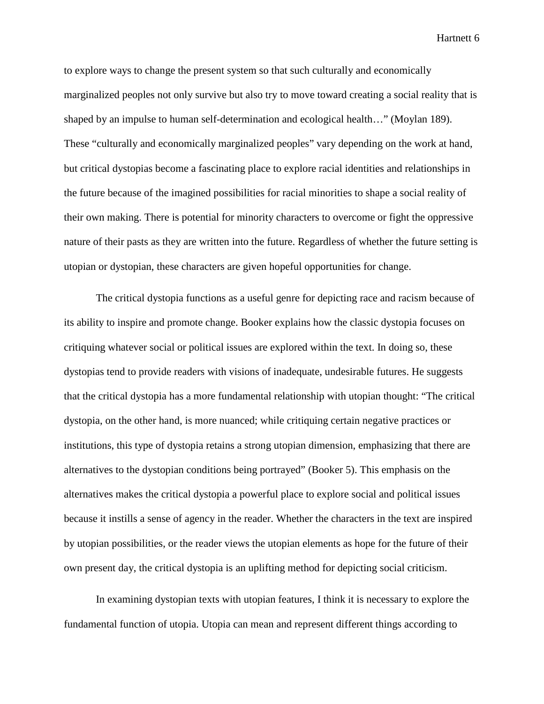to explore ways to change the present system so that such culturally and economically marginalized peoples not only survive but also try to move toward creating a social reality that is shaped by an impulse to human self-determination and ecological health…" (Moylan 189). These "culturally and economically marginalized peoples" vary depending on the work at hand, but critical dystopias become a fascinating place to explore racial identities and relationships in the future because of the imagined possibilities for racial minorities to shape a social reality of their own making. There is potential for minority characters to overcome or fight the oppressive nature of their pasts as they are written into the future. Regardless of whether the future setting is utopian or dystopian, these characters are given hopeful opportunities for change.

The critical dystopia functions as a useful genre for depicting race and racism because of its ability to inspire and promote change. Booker explains how the classic dystopia focuses on critiquing whatever social or political issues are explored within the text. In doing so, these dystopias tend to provide readers with visions of inadequate, undesirable futures. He suggests that the critical dystopia has a more fundamental relationship with utopian thought: "The critical dystopia, on the other hand, is more nuanced; while critiquing certain negative practices or institutions, this type of dystopia retains a strong utopian dimension, emphasizing that there are alternatives to the dystopian conditions being portrayed" (Booker 5). This emphasis on the alternatives makes the critical dystopia a powerful place to explore social and political issues because it instills a sense of agency in the reader. Whether the characters in the text are inspired by utopian possibilities, or the reader views the utopian elements as hope for the future of their own present day, the critical dystopia is an uplifting method for depicting social criticism.

In examining dystopian texts with utopian features, I think it is necessary to explore the fundamental function of utopia. Utopia can mean and represent different things according to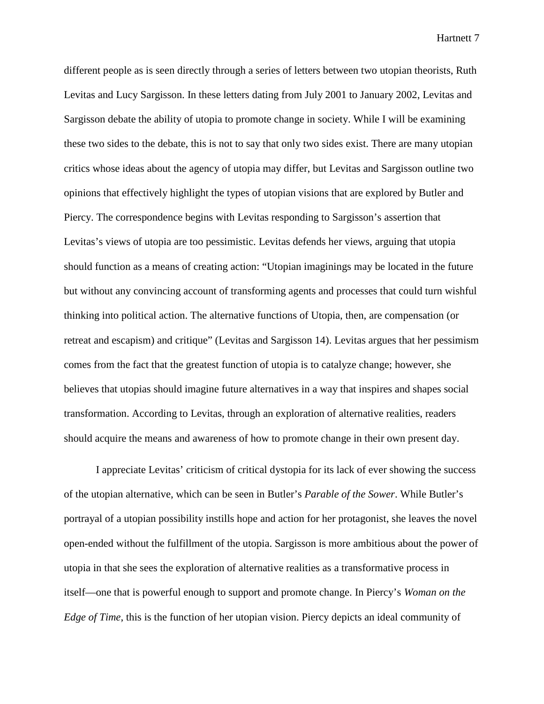different people as is seen directly through a series of letters between two utopian theorists, Ruth Levitas and Lucy Sargisson. In these letters dating from July 2001 to January 2002, Levitas and Sargisson debate the ability of utopia to promote change in society. While I will be examining these two sides to the debate, this is not to say that only two sides exist. There are many utopian critics whose ideas about the agency of utopia may differ, but Levitas and Sargisson outline two opinions that effectively highlight the types of utopian visions that are explored by Butler and Piercy. The correspondence begins with Levitas responding to Sargisson's assertion that Levitas's views of utopia are too pessimistic. Levitas defends her views, arguing that utopia should function as a means of creating action: "Utopian imaginings may be located in the future but without any convincing account of transforming agents and processes that could turn wishful thinking into political action. The alternative functions of Utopia, then, are compensation (or retreat and escapism) and critique" (Levitas and Sargisson 14). Levitas argues that her pessimism comes from the fact that the greatest function of utopia is to catalyze change; however, she believes that utopias should imagine future alternatives in a way that inspires and shapes social transformation. According to Levitas, through an exploration of alternative realities, readers should acquire the means and awareness of how to promote change in their own present day.

I appreciate Levitas' criticism of critical dystopia for its lack of ever showing the success of the utopian alternative, which can be seen in Butler's *Parable of the Sower*. While Butler's portrayal of a utopian possibility instills hope and action for her protagonist, she leaves the novel open-ended without the fulfillment of the utopia. Sargisson is more ambitious about the power of utopia in that she sees the exploration of alternative realities as a transformative process in itself—one that is powerful enough to support and promote change. In Piercy's *Woman on the Edge of Time*, this is the function of her utopian vision. Piercy depicts an ideal community of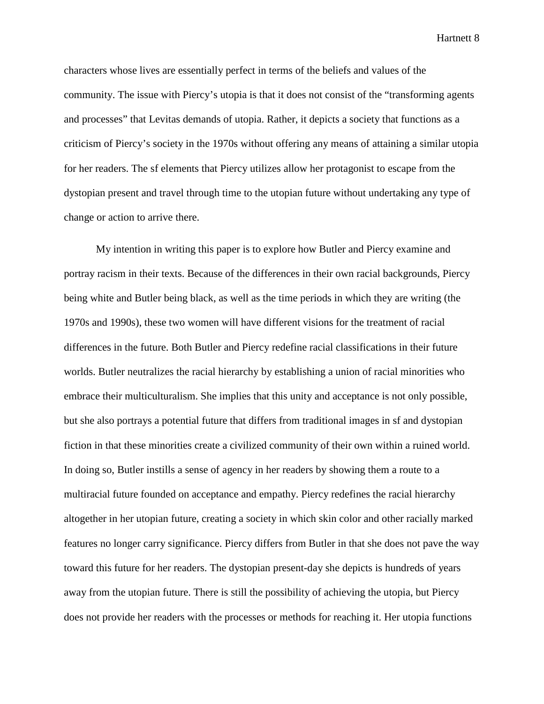characters whose lives are essentially perfect in terms of the beliefs and values of the community. The issue with Piercy's utopia is that it does not consist of the "transforming agents and processes" that Levitas demands of utopia. Rather, it depicts a society that functions as a criticism of Piercy's society in the 1970s without offering any means of attaining a similar utopia for her readers. The sf elements that Piercy utilizes allow her protagonist to escape from the dystopian present and travel through time to the utopian future without undertaking any type of change or action to arrive there.

My intention in writing this paper is to explore how Butler and Piercy examine and portray racism in their texts. Because of the differences in their own racial backgrounds, Piercy being white and Butler being black, as well as the time periods in which they are writing (the 1970s and 1990s), these two women will have different visions for the treatment of racial differences in the future. Both Butler and Piercy redefine racial classifications in their future worlds. Butler neutralizes the racial hierarchy by establishing a union of racial minorities who embrace their multiculturalism. She implies that this unity and acceptance is not only possible, but she also portrays a potential future that differs from traditional images in sf and dystopian fiction in that these minorities create a civilized community of their own within a ruined world. In doing so, Butler instills a sense of agency in her readers by showing them a route to a multiracial future founded on acceptance and empathy. Piercy redefines the racial hierarchy altogether in her utopian future, creating a society in which skin color and other racially marked features no longer carry significance. Piercy differs from Butler in that she does not pave the way toward this future for her readers. The dystopian present-day she depicts is hundreds of years away from the utopian future. There is still the possibility of achieving the utopia, but Piercy does not provide her readers with the processes or methods for reaching it. Her utopia functions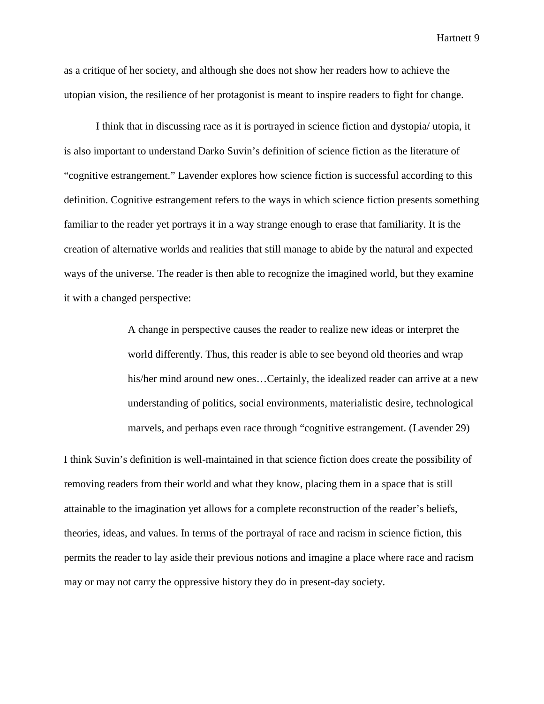as a critique of her society, and although she does not show her readers how to achieve the utopian vision, the resilience of her protagonist is meant to inspire readers to fight for change.

I think that in discussing race as it is portrayed in science fiction and dystopia/ utopia, it is also important to understand Darko Suvin's definition of science fiction as the literature of "cognitive estrangement." Lavender explores how science fiction is successful according to this definition. Cognitive estrangement refers to the ways in which science fiction presents something familiar to the reader yet portrays it in a way strange enough to erase that familiarity. It is the creation of alternative worlds and realities that still manage to abide by the natural and expected ways of the universe. The reader is then able to recognize the imagined world, but they examine it with a changed perspective:

> A change in perspective causes the reader to realize new ideas or interpret the world differently. Thus, this reader is able to see beyond old theories and wrap his/her mind around new ones…Certainly, the idealized reader can arrive at a new understanding of politics, social environments, materialistic desire, technological marvels, and perhaps even race through "cognitive estrangement. (Lavender 29)

I think Suvin's definition is well-maintained in that science fiction does create the possibility of removing readers from their world and what they know, placing them in a space that is still attainable to the imagination yet allows for a complete reconstruction of the reader's beliefs, theories, ideas, and values. In terms of the portrayal of race and racism in science fiction, this permits the reader to lay aside their previous notions and imagine a place where race and racism may or may not carry the oppressive history they do in present-day society.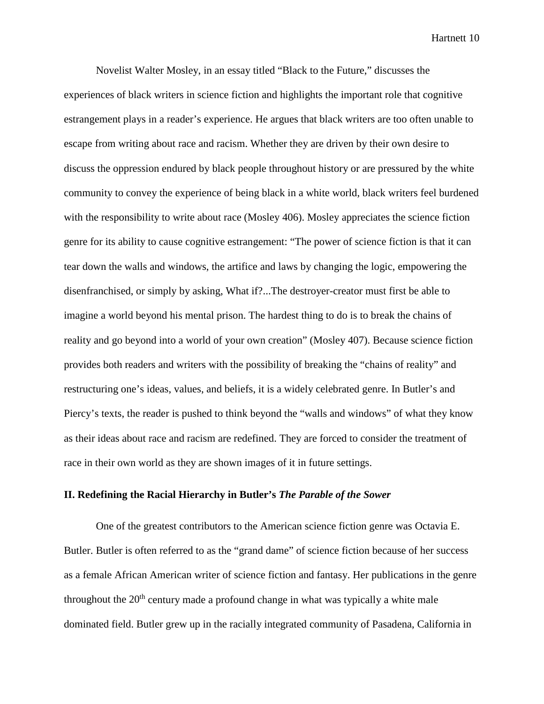Novelist Walter Mosley, in an essay titled "Black to the Future," discusses the experiences of black writers in science fiction and highlights the important role that cognitive estrangement plays in a reader's experience. He argues that black writers are too often unable to escape from writing about race and racism. Whether they are driven by their own desire to discuss the oppression endured by black people throughout history or are pressured by the white community to convey the experience of being black in a white world, black writers feel burdened with the responsibility to write about race (Mosley 406). Mosley appreciates the science fiction genre for its ability to cause cognitive estrangement: "The power of science fiction is that it can tear down the walls and windows, the artifice and laws by changing the logic, empowering the disenfranchised, or simply by asking, What if?...The destroyer-creator must first be able to imagine a world beyond his mental prison. The hardest thing to do is to break the chains of reality and go beyond into a world of your own creation" (Mosley 407). Because science fiction provides both readers and writers with the possibility of breaking the "chains of reality" and restructuring one's ideas, values, and beliefs, it is a widely celebrated genre. In Butler's and Piercy's texts, the reader is pushed to think beyond the "walls and windows" of what they know as their ideas about race and racism are redefined. They are forced to consider the treatment of race in their own world as they are shown images of it in future settings.

## **II. Redefining the Racial Hierarchy in Butler's** *The Parable of the Sower*

One of the greatest contributors to the American science fiction genre was Octavia E. Butler. Butler is often referred to as the "grand dame" of science fiction because of her success as a female African American writer of science fiction and fantasy. Her publications in the genre throughout the  $20<sup>th</sup>$  century made a profound change in what was typically a white male dominated field. Butler grew up in the racially integrated community of Pasadena, California in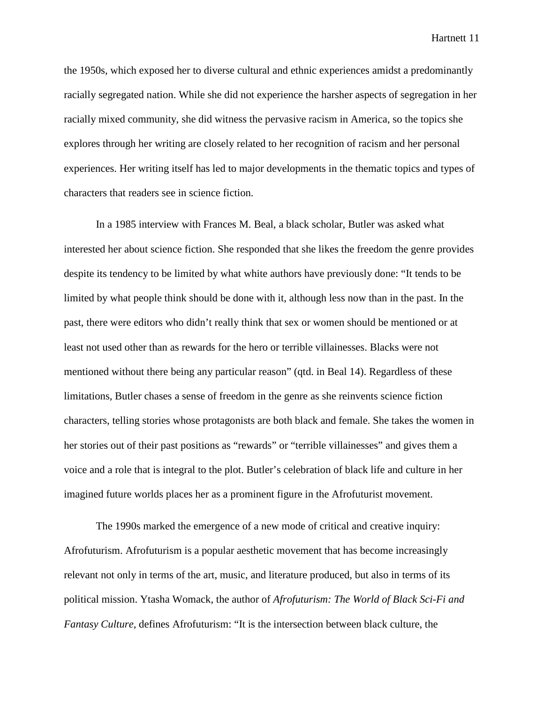the 1950s, which exposed her to diverse cultural and ethnic experiences amidst a predominantly racially segregated nation. While she did not experience the harsher aspects of segregation in her racially mixed community, she did witness the pervasive racism in America, so the topics she explores through her writing are closely related to her recognition of racism and her personal experiences. Her writing itself has led to major developments in the thematic topics and types of characters that readers see in science fiction.

In a 1985 interview with Frances M. Beal, a black scholar, Butler was asked what interested her about science fiction. She responded that she likes the freedom the genre provides despite its tendency to be limited by what white authors have previously done: "It tends to be limited by what people think should be done with it, although less now than in the past. In the past, there were editors who didn't really think that sex or women should be mentioned or at least not used other than as rewards for the hero or terrible villainesses. Blacks were not mentioned without there being any particular reason" (qtd. in Beal 14). Regardless of these limitations, Butler chases a sense of freedom in the genre as she reinvents science fiction characters, telling stories whose protagonists are both black and female. She takes the women in her stories out of their past positions as "rewards" or "terrible villainesses" and gives them a voice and a role that is integral to the plot. Butler's celebration of black life and culture in her imagined future worlds places her as a prominent figure in the Afrofuturist movement.

The 1990s marked the emergence of a new mode of critical and creative inquiry: Afrofuturism. Afrofuturism is a popular aesthetic movement that has become increasingly relevant not only in terms of the art, music, and literature produced, but also in terms of its political mission. Ytasha Womack, the author of *Afrofuturism: The World of Black Sci-Fi and Fantasy Culture*, defines Afrofuturism: "It is the intersection between black culture, the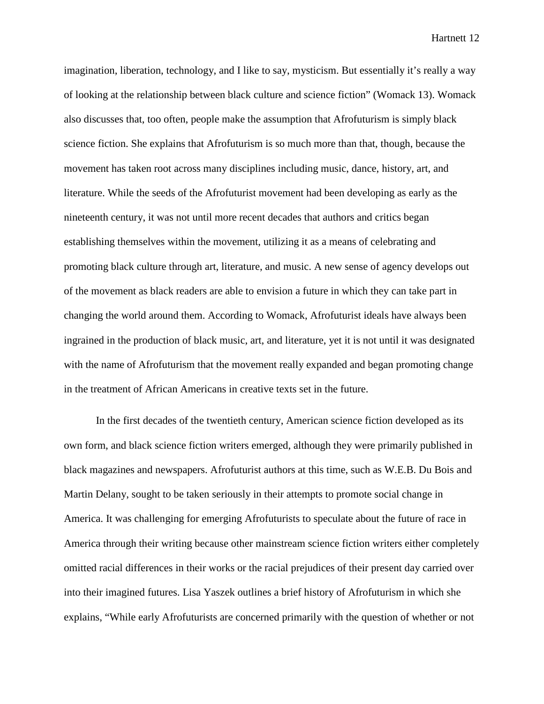imagination, liberation, technology, and I like to say, mysticism. But essentially it's really a way of looking at the relationship between black culture and science fiction" (Womack 13). Womack also discusses that, too often, people make the assumption that Afrofuturism is simply black science fiction. She explains that Afrofuturism is so much more than that, though, because the movement has taken root across many disciplines including music, dance, history, art, and literature. While the seeds of the Afrofuturist movement had been developing as early as the nineteenth century, it was not until more recent decades that authors and critics began establishing themselves within the movement, utilizing it as a means of celebrating and promoting black culture through art, literature, and music. A new sense of agency develops out of the movement as black readers are able to envision a future in which they can take part in changing the world around them. According to Womack, Afrofuturist ideals have always been ingrained in the production of black music, art, and literature, yet it is not until it was designated with the name of Afrofuturism that the movement really expanded and began promoting change in the treatment of African Americans in creative texts set in the future.

In the first decades of the twentieth century, American science fiction developed as its own form, and black science fiction writers emerged, although they were primarily published in black magazines and newspapers. Afrofuturist authors at this time, such as W.E.B. Du Bois and Martin Delany, sought to be taken seriously in their attempts to promote social change in America. It was challenging for emerging Afrofuturists to speculate about the future of race in America through their writing because other mainstream science fiction writers either completely omitted racial differences in their works or the racial prejudices of their present day carried over into their imagined futures. Lisa Yaszek outlines a brief history of Afrofuturism in which she explains, "While early Afrofuturists are concerned primarily with the question of whether or not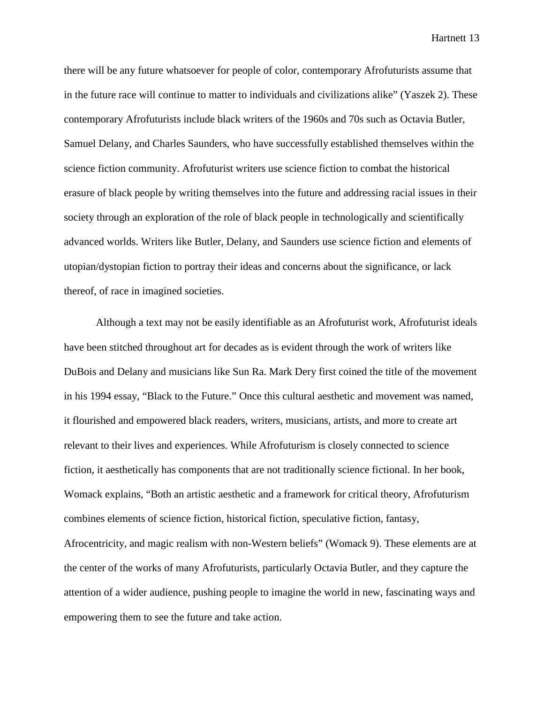there will be any future whatsoever for people of color, contemporary Afrofuturists assume that in the future race will continue to matter to individuals and civilizations alike" (Yaszek 2). These contemporary Afrofuturists include black writers of the 1960s and 70s such as Octavia Butler, Samuel Delany, and Charles Saunders, who have successfully established themselves within the science fiction community. Afrofuturist writers use science fiction to combat the historical erasure of black people by writing themselves into the future and addressing racial issues in their society through an exploration of the role of black people in technologically and scientifically advanced worlds. Writers like Butler, Delany, and Saunders use science fiction and elements of utopian/dystopian fiction to portray their ideas and concerns about the significance, or lack thereof, of race in imagined societies.

Although a text may not be easily identifiable as an Afrofuturist work, Afrofuturist ideals have been stitched throughout art for decades as is evident through the work of writers like DuBois and Delany and musicians like Sun Ra. Mark Dery first coined the title of the movement in his 1994 essay, "Black to the Future." Once this cultural aesthetic and movement was named, it flourished and empowered black readers, writers, musicians, artists, and more to create art relevant to their lives and experiences. While Afrofuturism is closely connected to science fiction, it aesthetically has components that are not traditionally science fictional. In her book, Womack explains, "Both an artistic aesthetic and a framework for critical theory, Afrofuturism combines elements of science fiction, historical fiction, speculative fiction, fantasy, Afrocentricity, and magic realism with non-Western beliefs" (Womack 9). These elements are at the center of the works of many Afrofuturists, particularly Octavia Butler, and they capture the attention of a wider audience, pushing people to imagine the world in new, fascinating ways and empowering them to see the future and take action.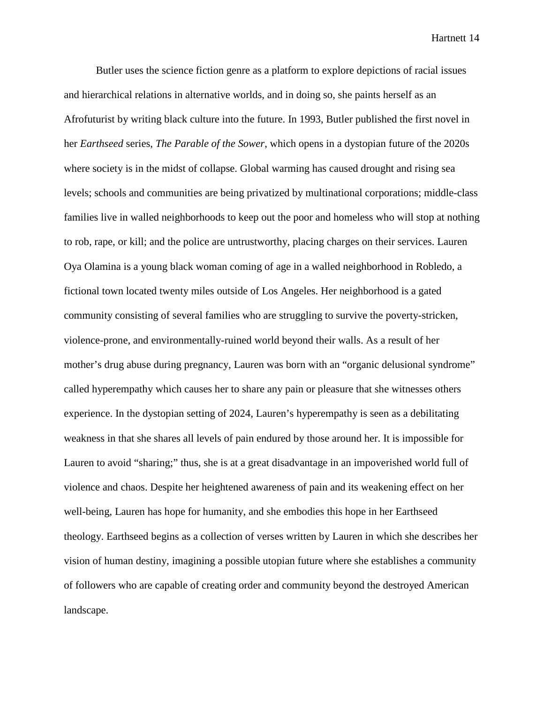Butler uses the science fiction genre as a platform to explore depictions of racial issues and hierarchical relations in alternative worlds, and in doing so, she paints herself as an Afrofuturist by writing black culture into the future. In 1993, Butler published the first novel in her *Earthseed* series, *The Parable of the Sower*, which opens in a dystopian future of the 2020s where society is in the midst of collapse. Global warming has caused drought and rising sea levels; schools and communities are being privatized by multinational corporations; middle-class families live in walled neighborhoods to keep out the poor and homeless who will stop at nothing to rob, rape, or kill; and the police are untrustworthy, placing charges on their services. Lauren Oya Olamina is a young black woman coming of age in a walled neighborhood in Robledo, a fictional town located twenty miles outside of Los Angeles. Her neighborhood is a gated community consisting of several families who are struggling to survive the poverty-stricken, violence-prone, and environmentally-ruined world beyond their walls. As a result of her mother's drug abuse during pregnancy, Lauren was born with an "organic delusional syndrome" called hyperempathy which causes her to share any pain or pleasure that she witnesses others experience. In the dystopian setting of 2024, Lauren's hyperempathy is seen as a debilitating weakness in that she shares all levels of pain endured by those around her. It is impossible for Lauren to avoid "sharing;" thus, she is at a great disadvantage in an impoverished world full of violence and chaos. Despite her heightened awareness of pain and its weakening effect on her well-being, Lauren has hope for humanity, and she embodies this hope in her Earthseed theology. Earthseed begins as a collection of verses written by Lauren in which she describes her vision of human destiny, imagining a possible utopian future where she establishes a community of followers who are capable of creating order and community beyond the destroyed American landscape.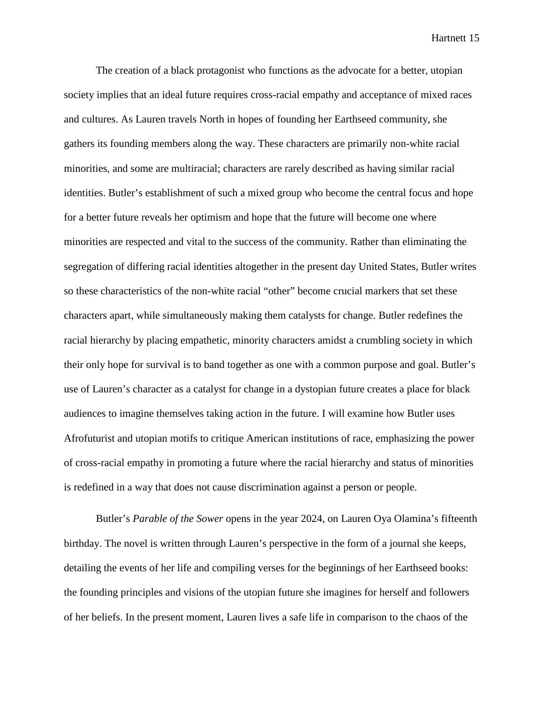The creation of a black protagonist who functions as the advocate for a better, utopian society implies that an ideal future requires cross-racial empathy and acceptance of mixed races and cultures. As Lauren travels North in hopes of founding her Earthseed community, she gathers its founding members along the way. These characters are primarily non-white racial minorities, and some are multiracial; characters are rarely described as having similar racial identities. Butler's establishment of such a mixed group who become the central focus and hope for a better future reveals her optimism and hope that the future will become one where minorities are respected and vital to the success of the community. Rather than eliminating the segregation of differing racial identities altogether in the present day United States, Butler writes so these characteristics of the non-white racial "other" become crucial markers that set these characters apart, while simultaneously making them catalysts for change. Butler redefines the racial hierarchy by placing empathetic, minority characters amidst a crumbling society in which their only hope for survival is to band together as one with a common purpose and goal. Butler's use of Lauren's character as a catalyst for change in a dystopian future creates a place for black audiences to imagine themselves taking action in the future. I will examine how Butler uses Afrofuturist and utopian motifs to critique American institutions of race, emphasizing the power of cross-racial empathy in promoting a future where the racial hierarchy and status of minorities is redefined in a way that does not cause discrimination against a person or people.

Butler's *Parable of the Sower* opens in the year 2024, on Lauren Oya Olamina's fifteenth birthday. The novel is written through Lauren's perspective in the form of a journal she keeps, detailing the events of her life and compiling verses for the beginnings of her Earthseed books: the founding principles and visions of the utopian future she imagines for herself and followers of her beliefs. In the present moment, Lauren lives a safe life in comparison to the chaos of the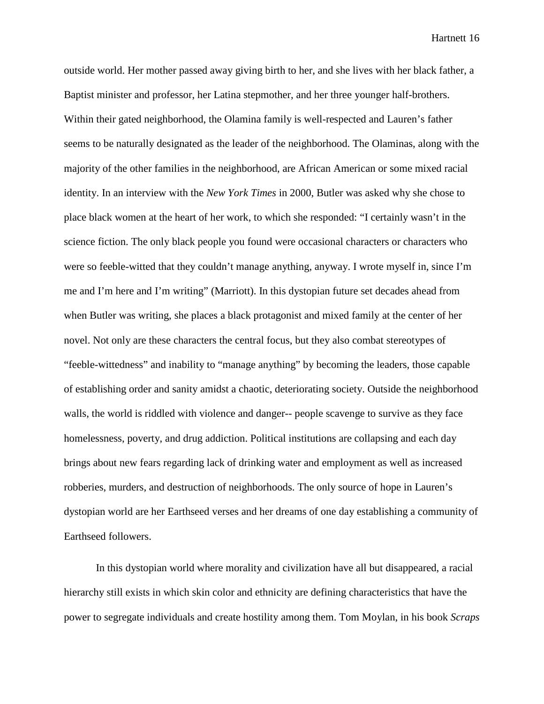outside world. Her mother passed away giving birth to her, and she lives with her black father, a Baptist minister and professor, her Latina stepmother, and her three younger half-brothers. Within their gated neighborhood, the Olamina family is well-respected and Lauren's father seems to be naturally designated as the leader of the neighborhood. The Olaminas, along with the majority of the other families in the neighborhood, are African American or some mixed racial identity. In an interview with the *New York Times* in 2000, Butler was asked why she chose to place black women at the heart of her work, to which she responded: "I certainly wasn't in the science fiction. The only black people you found were occasional characters or characters who were so feeble-witted that they couldn't manage anything, anyway. I wrote myself in, since I'm me and I'm here and I'm writing" (Marriott). In this dystopian future set decades ahead from when Butler was writing, she places a black protagonist and mixed family at the center of her novel. Not only are these characters the central focus, but they also combat stereotypes of "feeble-wittedness" and inability to "manage anything" by becoming the leaders, those capable of establishing order and sanity amidst a chaotic, deteriorating society. Outside the neighborhood walls, the world is riddled with violence and danger-- people scavenge to survive as they face homelessness, poverty, and drug addiction. Political institutions are collapsing and each day brings about new fears regarding lack of drinking water and employment as well as increased robberies, murders, and destruction of neighborhoods. The only source of hope in Lauren's dystopian world are her Earthseed verses and her dreams of one day establishing a community of Earthseed followers.

In this dystopian world where morality and civilization have all but disappeared, a racial hierarchy still exists in which skin color and ethnicity are defining characteristics that have the power to segregate individuals and create hostility among them. Tom Moylan, in his book *Scraps*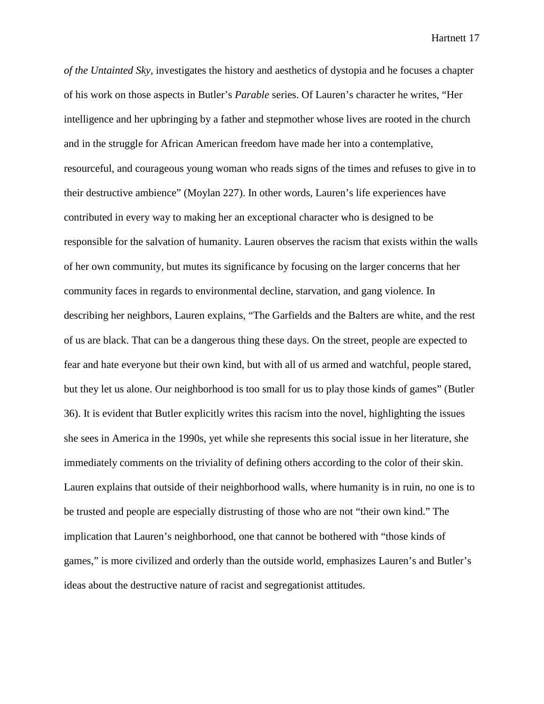*of the Untainted Sky*, investigates the history and aesthetics of dystopia and he focuses a chapter of his work on those aspects in Butler's *Parable* series. Of Lauren's character he writes, "Her intelligence and her upbringing by a father and stepmother whose lives are rooted in the church and in the struggle for African American freedom have made her into a contemplative, resourceful, and courageous young woman who reads signs of the times and refuses to give in to their destructive ambience" (Moylan 227). In other words, Lauren's life experiences have contributed in every way to making her an exceptional character who is designed to be responsible for the salvation of humanity. Lauren observes the racism that exists within the walls of her own community, but mutes its significance by focusing on the larger concerns that her community faces in regards to environmental decline, starvation, and gang violence. In describing her neighbors, Lauren explains, "The Garfields and the Balters are white, and the rest of us are black. That can be a dangerous thing these days. On the street, people are expected to fear and hate everyone but their own kind, but with all of us armed and watchful, people stared, but they let us alone. Our neighborhood is too small for us to play those kinds of games" (Butler 36). It is evident that Butler explicitly writes this racism into the novel, highlighting the issues she sees in America in the 1990s, yet while she represents this social issue in her literature, she immediately comments on the triviality of defining others according to the color of their skin. Lauren explains that outside of their neighborhood walls, where humanity is in ruin, no one is to be trusted and people are especially distrusting of those who are not "their own kind." The implication that Lauren's neighborhood, one that cannot be bothered with "those kinds of games," is more civilized and orderly than the outside world, emphasizes Lauren's and Butler's ideas about the destructive nature of racist and segregationist attitudes.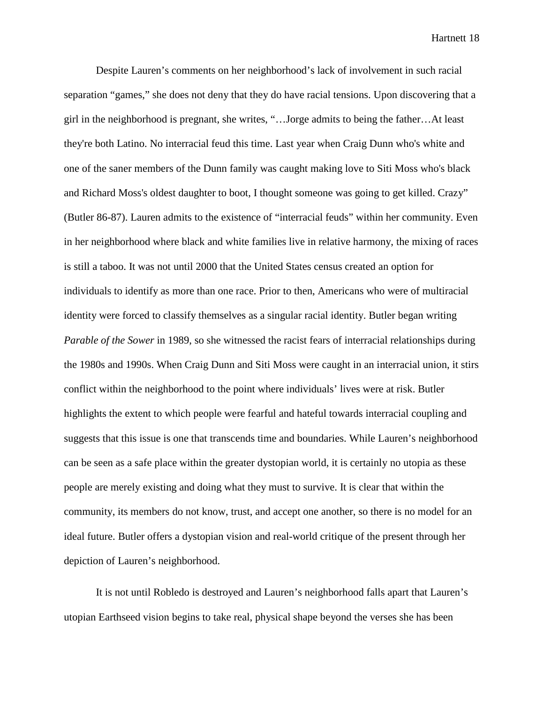Despite Lauren's comments on her neighborhood's lack of involvement in such racial separation "games," she does not deny that they do have racial tensions. Upon discovering that a girl in the neighborhood is pregnant, she writes, "…Jorge admits to being the father…At least they're both Latino. No interracial feud this time. Last year when Craig Dunn who's white and one of the saner members of the Dunn family was caught making love to Siti Moss who's black and Richard Moss's oldest daughter to boot, I thought someone was going to get killed. Crazy" (Butler 86-87). Lauren admits to the existence of "interracial feuds" within her community. Even in her neighborhood where black and white families live in relative harmony, the mixing of races is still a taboo. It was not until 2000 that the United States census created an option for individuals to identify as more than one race. Prior to then, Americans who were of multiracial identity were forced to classify themselves as a singular racial identity. Butler began writing *Parable of the Sower* in 1989, so she witnessed the racist fears of interracial relationships during the 1980s and 1990s. When Craig Dunn and Siti Moss were caught in an interracial union, it stirs conflict within the neighborhood to the point where individuals' lives were at risk. Butler highlights the extent to which people were fearful and hateful towards interracial coupling and suggests that this issue is one that transcends time and boundaries. While Lauren's neighborhood can be seen as a safe place within the greater dystopian world, it is certainly no utopia as these people are merely existing and doing what they must to survive. It is clear that within the community, its members do not know, trust, and accept one another, so there is no model for an ideal future. Butler offers a dystopian vision and real-world critique of the present through her depiction of Lauren's neighborhood.

It is not until Robledo is destroyed and Lauren's neighborhood falls apart that Lauren's utopian Earthseed vision begins to take real, physical shape beyond the verses she has been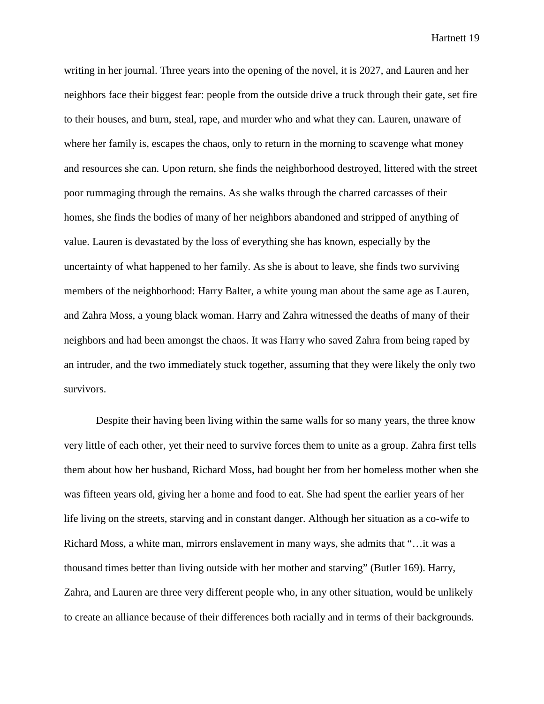writing in her journal. Three years into the opening of the novel, it is 2027, and Lauren and her neighbors face their biggest fear: people from the outside drive a truck through their gate, set fire to their houses, and burn, steal, rape, and murder who and what they can. Lauren, unaware of where her family is, escapes the chaos, only to return in the morning to scavenge what money and resources she can. Upon return, she finds the neighborhood destroyed, littered with the street poor rummaging through the remains. As she walks through the charred carcasses of their homes, she finds the bodies of many of her neighbors abandoned and stripped of anything of value. Lauren is devastated by the loss of everything she has known, especially by the uncertainty of what happened to her family. As she is about to leave, she finds two surviving members of the neighborhood: Harry Balter, a white young man about the same age as Lauren, and Zahra Moss, a young black woman. Harry and Zahra witnessed the deaths of many of their neighbors and had been amongst the chaos. It was Harry who saved Zahra from being raped by an intruder, and the two immediately stuck together, assuming that they were likely the only two survivors.

Despite their having been living within the same walls for so many years, the three know very little of each other, yet their need to survive forces them to unite as a group. Zahra first tells them about how her husband, Richard Moss, had bought her from her homeless mother when she was fifteen years old, giving her a home and food to eat. She had spent the earlier years of her life living on the streets, starving and in constant danger. Although her situation as a co-wife to Richard Moss, a white man, mirrors enslavement in many ways, she admits that "…it was a thousand times better than living outside with her mother and starving" (Butler 169). Harry, Zahra, and Lauren are three very different people who, in any other situation, would be unlikely to create an alliance because of their differences both racially and in terms of their backgrounds.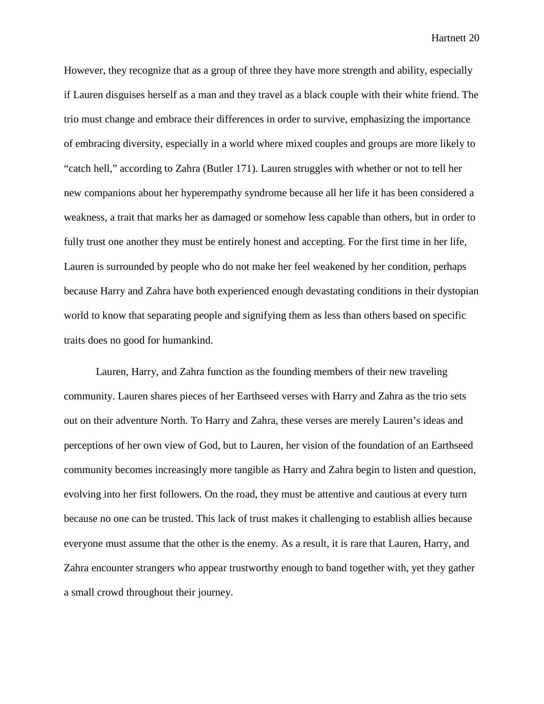However, they recognize that as a group of three they have more strength and ability, especially if Lauren disguises herself as a man and they travel as a black couple with their white friend. The trio must change and embrace their differences in order to survive, emphasizing the importance of embracing diversity, especially in a world where mixed couples and groups are more likely to "catch hell," according to Zahra (Butler 171). Lauren struggles with whether or not to tell her new companions about her hyperempathy syndrome because all her life it has been considered a weakness, a trait that marks her as damaged or somehow less capable than others, but in order to fully trust one another they must be entirely honest and accepting. For the first time in her life, Lauren is surrounded by people who do not make her feel weakened by her condition, perhaps because Harry and Zahra have both experienced enough devastating conditions in their dystopian world to know that separating people and signifying them as less than others based on specific traits does no good for humankind.

Lauren, Harry, and Zahra function as the founding members of their new traveling community. Lauren shares pieces of her Earthseed verses with Harry and Zahra as the trio sets out on their adventure North. To Harry and Zahra, these verses are merely Lauren's ideas and perceptions of her own view of God, but to Lauren, her vision of the foundation of an Earthseed community becomes increasingly more tangible as Harry and Zahra begin to listen and question, evolving into her first followers. On the road, they must be attentive and cautious at every turn because no one can be trusted. This lack of trust makes it challenging to establish allies because everyone must assume that the other is the enemy. As a result, it is rare that Lauren, Harry, and Zahra encounter strangers who appear trustworthy enough to band together with, yet they gather a small crowd throughout their journey.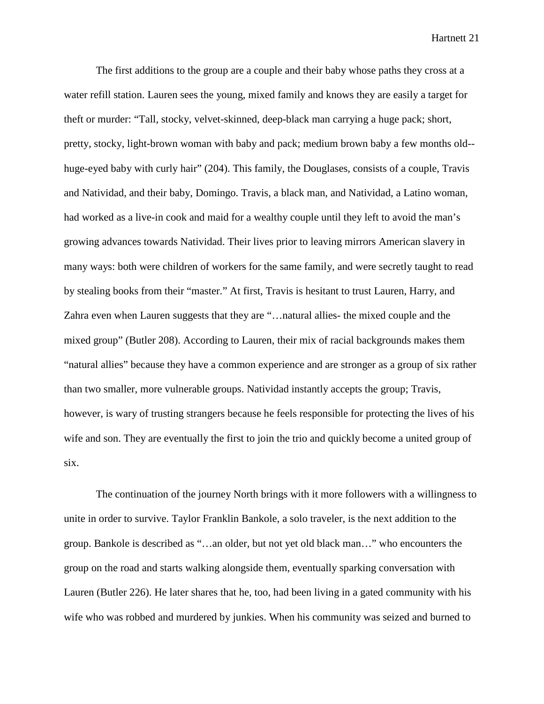The first additions to the group are a couple and their baby whose paths they cross at a water refill station. Lauren sees the young, mixed family and knows they are easily a target for theft or murder: "Tall, stocky, velvet-skinned, deep-black man carrying a huge pack; short, pretty, stocky, light-brown woman with baby and pack; medium brown baby a few months old- huge-eyed baby with curly hair" (204). This family, the Douglases, consists of a couple, Travis and Natividad, and their baby, Domingo. Travis, a black man, and Natividad, a Latino woman, had worked as a live-in cook and maid for a wealthy couple until they left to avoid the man's growing advances towards Natividad. Their lives prior to leaving mirrors American slavery in many ways: both were children of workers for the same family, and were secretly taught to read by stealing books from their "master." At first, Travis is hesitant to trust Lauren, Harry, and Zahra even when Lauren suggests that they are "…natural allies- the mixed couple and the mixed group" (Butler 208). According to Lauren, their mix of racial backgrounds makes them "natural allies" because they have a common experience and are stronger as a group of six rather than two smaller, more vulnerable groups. Natividad instantly accepts the group; Travis, however, is wary of trusting strangers because he feels responsible for protecting the lives of his wife and son. They are eventually the first to join the trio and quickly become a united group of six.

The continuation of the journey North brings with it more followers with a willingness to unite in order to survive. Taylor Franklin Bankole, a solo traveler, is the next addition to the group. Bankole is described as "…an older, but not yet old black man…" who encounters the group on the road and starts walking alongside them, eventually sparking conversation with Lauren (Butler 226). He later shares that he, too, had been living in a gated community with his wife who was robbed and murdered by junkies. When his community was seized and burned to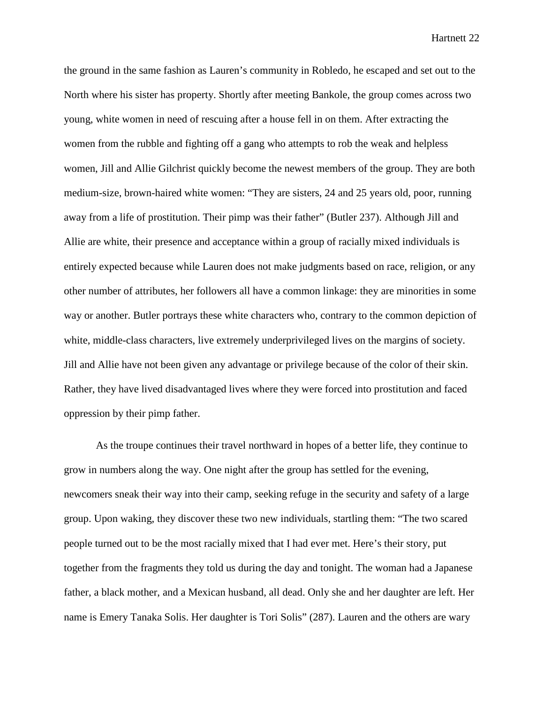the ground in the same fashion as Lauren's community in Robledo, he escaped and set out to the North where his sister has property. Shortly after meeting Bankole, the group comes across two young, white women in need of rescuing after a house fell in on them. After extracting the women from the rubble and fighting off a gang who attempts to rob the weak and helpless women, Jill and Allie Gilchrist quickly become the newest members of the group. They are both medium-size, brown-haired white women: "They are sisters, 24 and 25 years old, poor, running away from a life of prostitution. Their pimp was their father" (Butler 237). Although Jill and Allie are white, their presence and acceptance within a group of racially mixed individuals is entirely expected because while Lauren does not make judgments based on race, religion, or any other number of attributes, her followers all have a common linkage: they are minorities in some way or another. Butler portrays these white characters who, contrary to the common depiction of white, middle-class characters, live extremely underprivileged lives on the margins of society. Jill and Allie have not been given any advantage or privilege because of the color of their skin. Rather, they have lived disadvantaged lives where they were forced into prostitution and faced oppression by their pimp father.

As the troupe continues their travel northward in hopes of a better life, they continue to grow in numbers along the way. One night after the group has settled for the evening, newcomers sneak their way into their camp, seeking refuge in the security and safety of a large group. Upon waking, they discover these two new individuals, startling them: "The two scared people turned out to be the most racially mixed that I had ever met. Here's their story, put together from the fragments they told us during the day and tonight. The woman had a Japanese father, a black mother, and a Mexican husband, all dead. Only she and her daughter are left. Her name is Emery Tanaka Solis. Her daughter is Tori Solis" (287). Lauren and the others are wary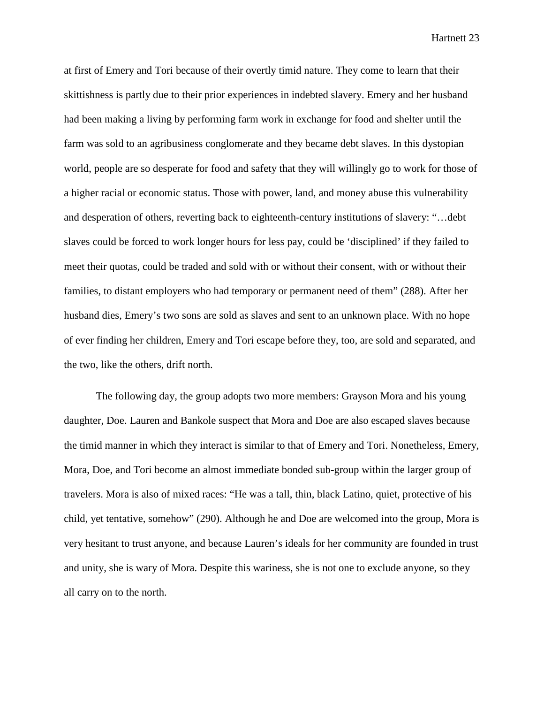at first of Emery and Tori because of their overtly timid nature. They come to learn that their skittishness is partly due to their prior experiences in indebted slavery. Emery and her husband had been making a living by performing farm work in exchange for food and shelter until the farm was sold to an agribusiness conglomerate and they became debt slaves. In this dystopian world, people are so desperate for food and safety that they will willingly go to work for those of a higher racial or economic status. Those with power, land, and money abuse this vulnerability and desperation of others, reverting back to eighteenth-century institutions of slavery: "…debt slaves could be forced to work longer hours for less pay, could be 'disciplined' if they failed to meet their quotas, could be traded and sold with or without their consent, with or without their families, to distant employers who had temporary or permanent need of them" (288). After her husband dies, Emery's two sons are sold as slaves and sent to an unknown place. With no hope of ever finding her children, Emery and Tori escape before they, too, are sold and separated, and the two, like the others, drift north.

The following day, the group adopts two more members: Grayson Mora and his young daughter, Doe. Lauren and Bankole suspect that Mora and Doe are also escaped slaves because the timid manner in which they interact is similar to that of Emery and Tori. Nonetheless, Emery, Mora, Doe, and Tori become an almost immediate bonded sub-group within the larger group of travelers. Mora is also of mixed races: "He was a tall, thin, black Latino, quiet, protective of his child, yet tentative, somehow" (290). Although he and Doe are welcomed into the group, Mora is very hesitant to trust anyone, and because Lauren's ideals for her community are founded in trust and unity, she is wary of Mora. Despite this wariness, she is not one to exclude anyone, so they all carry on to the north.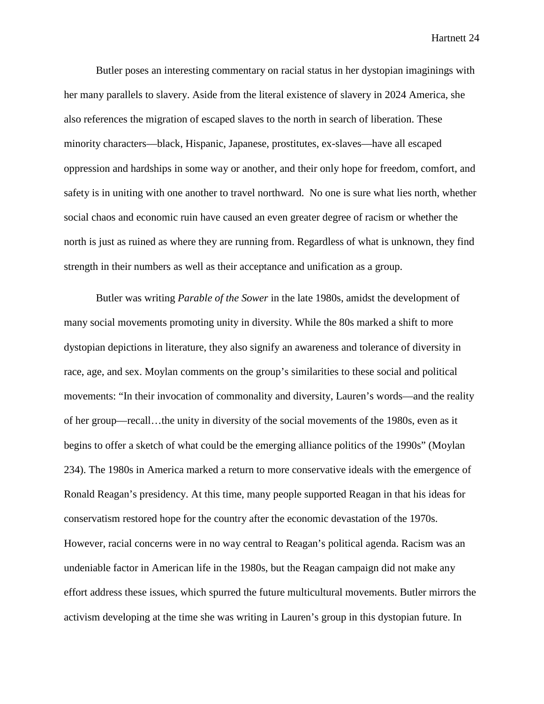Butler poses an interesting commentary on racial status in her dystopian imaginings with her many parallels to slavery. Aside from the literal existence of slavery in 2024 America, she also references the migration of escaped slaves to the north in search of liberation. These minority characters—black, Hispanic, Japanese, prostitutes, ex-slaves—have all escaped oppression and hardships in some way or another, and their only hope for freedom, comfort, and safety is in uniting with one another to travel northward. No one is sure what lies north, whether social chaos and economic ruin have caused an even greater degree of racism or whether the north is just as ruined as where they are running from. Regardless of what is unknown, they find strength in their numbers as well as their acceptance and unification as a group.

Butler was writing *Parable of the Sower* in the late 1980s, amidst the development of many social movements promoting unity in diversity. While the 80s marked a shift to more dystopian depictions in literature, they also signify an awareness and tolerance of diversity in race, age, and sex. Moylan comments on the group's similarities to these social and political movements: "In their invocation of commonality and diversity, Lauren's words—and the reality of her group—recall…the unity in diversity of the social movements of the 1980s, even as it begins to offer a sketch of what could be the emerging alliance politics of the 1990s" (Moylan 234). The 1980s in America marked a return to more conservative ideals with the emergence of Ronald Reagan's presidency. At this time, many people supported Reagan in that his ideas for conservatism restored hope for the country after the economic devastation of the 1970s. However, racial concerns were in no way central to Reagan's political agenda. Racism was an undeniable factor in American life in the 1980s, but the Reagan campaign did not make any effort address these issues, which spurred the future multicultural movements. Butler mirrors the activism developing at the time she was writing in Lauren's group in this dystopian future. In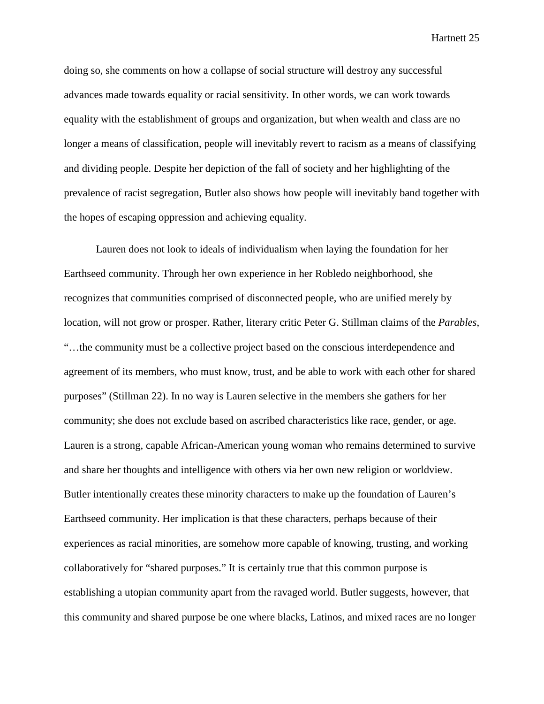doing so, she comments on how a collapse of social structure will destroy any successful advances made towards equality or racial sensitivity. In other words, we can work towards equality with the establishment of groups and organization, but when wealth and class are no longer a means of classification, people will inevitably revert to racism as a means of classifying and dividing people. Despite her depiction of the fall of society and her highlighting of the prevalence of racist segregation, Butler also shows how people will inevitably band together with the hopes of escaping oppression and achieving equality.

Lauren does not look to ideals of individualism when laying the foundation for her Earthseed community. Through her own experience in her Robledo neighborhood, she recognizes that communities comprised of disconnected people, who are unified merely by location, will not grow or prosper. Rather, literary critic Peter G. Stillman claims of the *Parables*, "…the community must be a collective project based on the conscious interdependence and agreement of its members, who must know, trust, and be able to work with each other for shared purposes" (Stillman 22). In no way is Lauren selective in the members she gathers for her community; she does not exclude based on ascribed characteristics like race, gender, or age. Lauren is a strong, capable African-American young woman who remains determined to survive and share her thoughts and intelligence with others via her own new religion or worldview. Butler intentionally creates these minority characters to make up the foundation of Lauren's Earthseed community. Her implication is that these characters, perhaps because of their experiences as racial minorities, are somehow more capable of knowing, trusting, and working collaboratively for "shared purposes." It is certainly true that this common purpose is establishing a utopian community apart from the ravaged world. Butler suggests, however, that this community and shared purpose be one where blacks, Latinos, and mixed races are no longer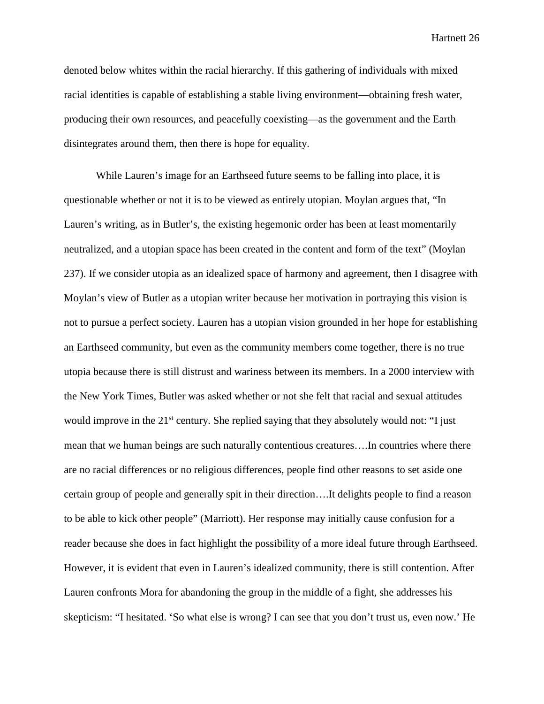denoted below whites within the racial hierarchy. If this gathering of individuals with mixed racial identities is capable of establishing a stable living environment—obtaining fresh water, producing their own resources, and peacefully coexisting—as the government and the Earth disintegrates around them, then there is hope for equality.

While Lauren's image for an Earthseed future seems to be falling into place, it is questionable whether or not it is to be viewed as entirely utopian. Moylan argues that, "In Lauren's writing, as in Butler's, the existing hegemonic order has been at least momentarily neutralized, and a utopian space has been created in the content and form of the text" (Moylan 237). If we consider utopia as an idealized space of harmony and agreement, then I disagree with Moylan's view of Butler as a utopian writer because her motivation in portraying this vision is not to pursue a perfect society. Lauren has a utopian vision grounded in her hope for establishing an Earthseed community, but even as the community members come together, there is no true utopia because there is still distrust and wariness between its members. In a 2000 interview with the New York Times, Butler was asked whether or not she felt that racial and sexual attitudes would improve in the 21<sup>st</sup> century. She replied saying that they absolutely would not: "I just mean that we human beings are such naturally contentious creatures….In countries where there are no racial differences or no religious differences, people find other reasons to set aside one certain group of people and generally spit in their direction….It delights people to find a reason to be able to kick other people" (Marriott). Her response may initially cause confusion for a reader because she does in fact highlight the possibility of a more ideal future through Earthseed. However, it is evident that even in Lauren's idealized community, there is still contention. After Lauren confronts Mora for abandoning the group in the middle of a fight, she addresses his skepticism: "I hesitated. 'So what else is wrong? I can see that you don't trust us, even now.' He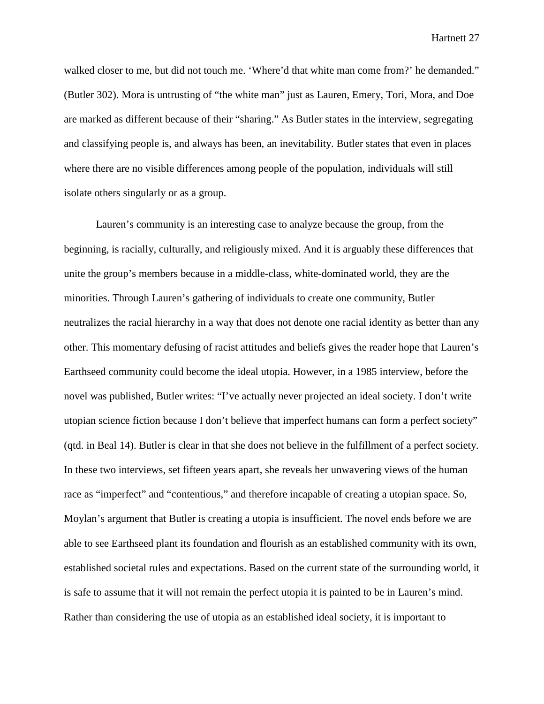walked closer to me, but did not touch me. 'Where'd that white man come from?' he demanded." (Butler 302). Mora is untrusting of "the white man" just as Lauren, Emery, Tori, Mora, and Doe are marked as different because of their "sharing." As Butler states in the interview, segregating and classifying people is, and always has been, an inevitability. Butler states that even in places where there are no visible differences among people of the population, individuals will still isolate others singularly or as a group.

Lauren's community is an interesting case to analyze because the group, from the beginning, is racially, culturally, and religiously mixed. And it is arguably these differences that unite the group's members because in a middle-class, white-dominated world, they are the minorities. Through Lauren's gathering of individuals to create one community, Butler neutralizes the racial hierarchy in a way that does not denote one racial identity as better than any other. This momentary defusing of racist attitudes and beliefs gives the reader hope that Lauren's Earthseed community could become the ideal utopia. However, in a 1985 interview, before the novel was published, Butler writes: "I've actually never projected an ideal society. I don't write utopian science fiction because I don't believe that imperfect humans can form a perfect society" (qtd. in Beal 14). Butler is clear in that she does not believe in the fulfillment of a perfect society. In these two interviews, set fifteen years apart, she reveals her unwavering views of the human race as "imperfect" and "contentious," and therefore incapable of creating a utopian space. So, Moylan's argument that Butler is creating a utopia is insufficient. The novel ends before we are able to see Earthseed plant its foundation and flourish as an established community with its own, established societal rules and expectations. Based on the current state of the surrounding world, it is safe to assume that it will not remain the perfect utopia it is painted to be in Lauren's mind. Rather than considering the use of utopia as an established ideal society, it is important to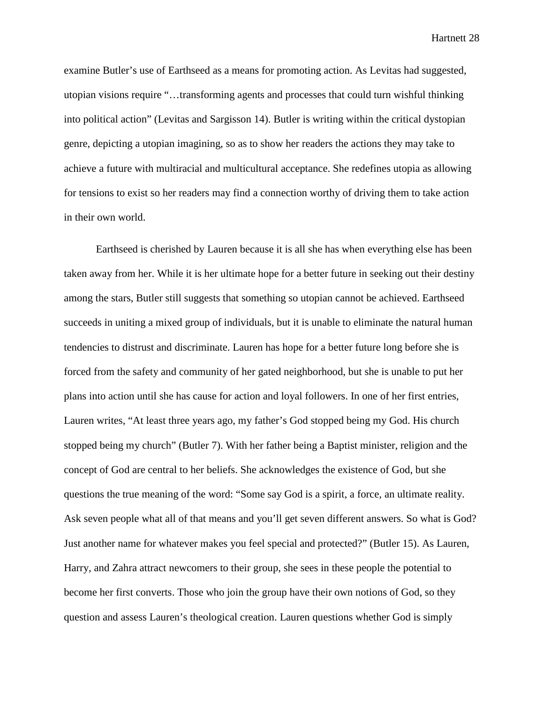examine Butler's use of Earthseed as a means for promoting action. As Levitas had suggested, utopian visions require "…transforming agents and processes that could turn wishful thinking into political action" (Levitas and Sargisson 14). Butler is writing within the critical dystopian genre, depicting a utopian imagining, so as to show her readers the actions they may take to achieve a future with multiracial and multicultural acceptance. She redefines utopia as allowing for tensions to exist so her readers may find a connection worthy of driving them to take action in their own world.

Earthseed is cherished by Lauren because it is all she has when everything else has been taken away from her. While it is her ultimate hope for a better future in seeking out their destiny among the stars, Butler still suggests that something so utopian cannot be achieved. Earthseed succeeds in uniting a mixed group of individuals, but it is unable to eliminate the natural human tendencies to distrust and discriminate. Lauren has hope for a better future long before she is forced from the safety and community of her gated neighborhood, but she is unable to put her plans into action until she has cause for action and loyal followers. In one of her first entries, Lauren writes, "At least three years ago, my father's God stopped being my God. His church stopped being my church" (Butler 7). With her father being a Baptist minister, religion and the concept of God are central to her beliefs. She acknowledges the existence of God, but she questions the true meaning of the word: "Some say God is a spirit, a force, an ultimate reality. Ask seven people what all of that means and you'll get seven different answers. So what is God? Just another name for whatever makes you feel special and protected?" (Butler 15). As Lauren, Harry, and Zahra attract newcomers to their group, she sees in these people the potential to become her first converts. Those who join the group have their own notions of God, so they question and assess Lauren's theological creation. Lauren questions whether God is simply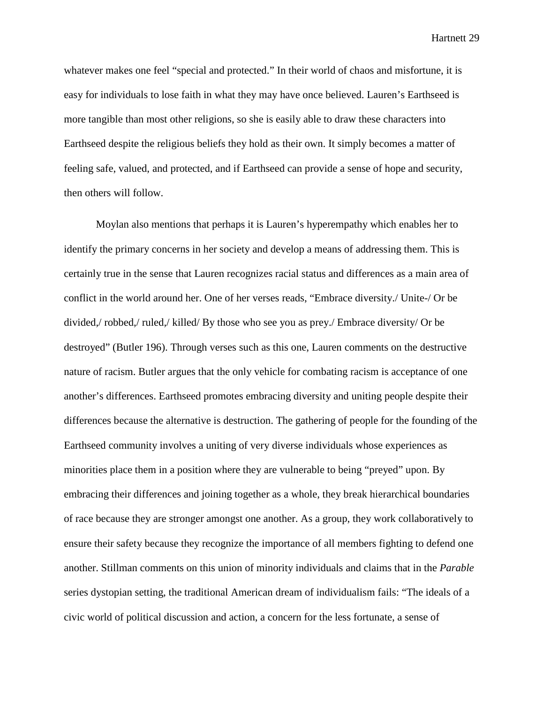whatever makes one feel "special and protected." In their world of chaos and misfortune, it is easy for individuals to lose faith in what they may have once believed. Lauren's Earthseed is more tangible than most other religions, so she is easily able to draw these characters into Earthseed despite the religious beliefs they hold as their own. It simply becomes a matter of feeling safe, valued, and protected, and if Earthseed can provide a sense of hope and security, then others will follow.

Moylan also mentions that perhaps it is Lauren's hyperempathy which enables her to identify the primary concerns in her society and develop a means of addressing them. This is certainly true in the sense that Lauren recognizes racial status and differences as a main area of conflict in the world around her. One of her verses reads, "Embrace diversity./ Unite-/ Or be divided,/ robbed,/ ruled,/ killed/ By those who see you as prey./ Embrace diversity/ Or be destroyed" (Butler 196). Through verses such as this one, Lauren comments on the destructive nature of racism. Butler argues that the only vehicle for combating racism is acceptance of one another's differences. Earthseed promotes embracing diversity and uniting people despite their differences because the alternative is destruction. The gathering of people for the founding of the Earthseed community involves a uniting of very diverse individuals whose experiences as minorities place them in a position where they are vulnerable to being "preyed" upon. By embracing their differences and joining together as a whole, they break hierarchical boundaries of race because they are stronger amongst one another. As a group, they work collaboratively to ensure their safety because they recognize the importance of all members fighting to defend one another. Stillman comments on this union of minority individuals and claims that in the *Parable* series dystopian setting, the traditional American dream of individualism fails: "The ideals of a civic world of political discussion and action, a concern for the less fortunate, a sense of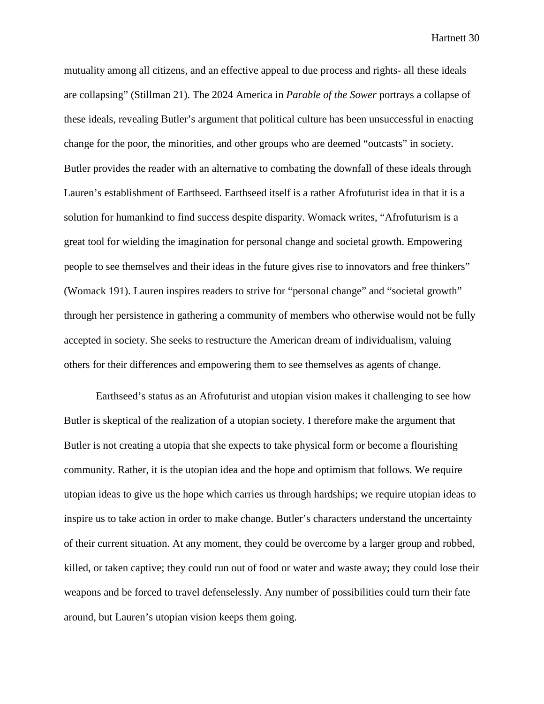mutuality among all citizens, and an effective appeal to due process and rights- all these ideals are collapsing" (Stillman 21). The 2024 America in *Parable of the Sower* portrays a collapse of these ideals, revealing Butler's argument that political culture has been unsuccessful in enacting change for the poor, the minorities, and other groups who are deemed "outcasts" in society. Butler provides the reader with an alternative to combating the downfall of these ideals through Lauren's establishment of Earthseed. Earthseed itself is a rather Afrofuturist idea in that it is a solution for humankind to find success despite disparity. Womack writes, "Afrofuturism is a great tool for wielding the imagination for personal change and societal growth. Empowering people to see themselves and their ideas in the future gives rise to innovators and free thinkers" (Womack 191). Lauren inspires readers to strive for "personal change" and "societal growth" through her persistence in gathering a community of members who otherwise would not be fully accepted in society. She seeks to restructure the American dream of individualism, valuing others for their differences and empowering them to see themselves as agents of change.

Earthseed's status as an Afrofuturist and utopian vision makes it challenging to see how Butler is skeptical of the realization of a utopian society. I therefore make the argument that Butler is not creating a utopia that she expects to take physical form or become a flourishing community. Rather, it is the utopian idea and the hope and optimism that follows. We require utopian ideas to give us the hope which carries us through hardships; we require utopian ideas to inspire us to take action in order to make change. Butler's characters understand the uncertainty of their current situation. At any moment, they could be overcome by a larger group and robbed, killed, or taken captive; they could run out of food or water and waste away; they could lose their weapons and be forced to travel defenselessly. Any number of possibilities could turn their fate around, but Lauren's utopian vision keeps them going.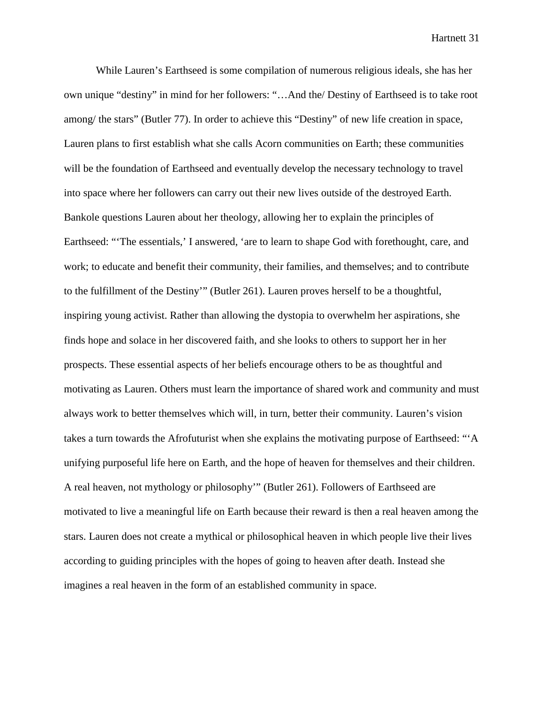While Lauren's Earthseed is some compilation of numerous religious ideals, she has her own unique "destiny" in mind for her followers: "…And the/ Destiny of Earthseed is to take root among/ the stars" (Butler 77). In order to achieve this "Destiny" of new life creation in space, Lauren plans to first establish what she calls Acorn communities on Earth; these communities will be the foundation of Earthseed and eventually develop the necessary technology to travel into space where her followers can carry out their new lives outside of the destroyed Earth. Bankole questions Lauren about her theology, allowing her to explain the principles of Earthseed: "'The essentials,' I answered, 'are to learn to shape God with forethought, care, and work; to educate and benefit their community, their families, and themselves; and to contribute to the fulfillment of the Destiny'" (Butler 261). Lauren proves herself to be a thoughtful, inspiring young activist. Rather than allowing the dystopia to overwhelm her aspirations, she finds hope and solace in her discovered faith, and she looks to others to support her in her prospects. These essential aspects of her beliefs encourage others to be as thoughtful and motivating as Lauren. Others must learn the importance of shared work and community and must always work to better themselves which will, in turn, better their community. Lauren's vision takes a turn towards the Afrofuturist when she explains the motivating purpose of Earthseed: "'A unifying purposeful life here on Earth, and the hope of heaven for themselves and their children. A real heaven, not mythology or philosophy'" (Butler 261). Followers of Earthseed are motivated to live a meaningful life on Earth because their reward is then a real heaven among the stars. Lauren does not create a mythical or philosophical heaven in which people live their lives according to guiding principles with the hopes of going to heaven after death. Instead she imagines a real heaven in the form of an established community in space.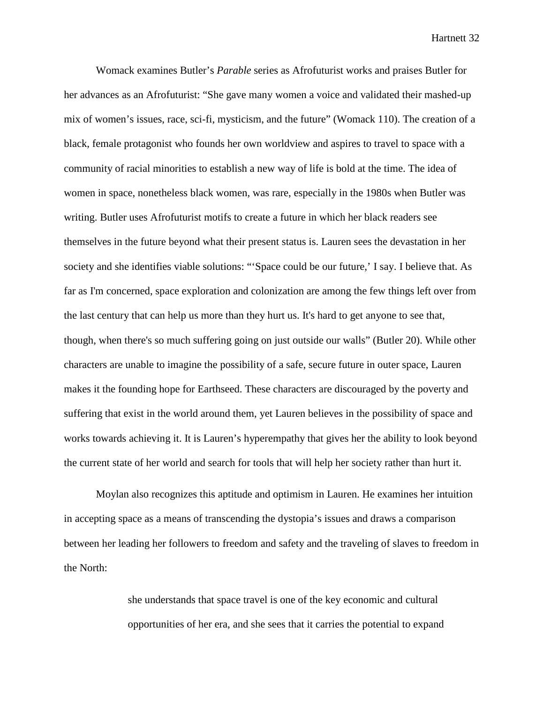Womack examines Butler's *Parable* series as Afrofuturist works and praises Butler for her advances as an Afrofuturist: "She gave many women a voice and validated their mashed-up mix of women's issues, race, sci-fi, mysticism, and the future" (Womack 110). The creation of a black, female protagonist who founds her own worldview and aspires to travel to space with a community of racial minorities to establish a new way of life is bold at the time. The idea of women in space, nonetheless black women, was rare, especially in the 1980s when Butler was writing. Butler uses Afrofuturist motifs to create a future in which her black readers see themselves in the future beyond what their present status is. Lauren sees the devastation in her society and she identifies viable solutions: "'Space could be our future,' I say. I believe that. As far as I'm concerned, space exploration and colonization are among the few things left over from the last century that can help us more than they hurt us. It's hard to get anyone to see that, though, when there's so much suffering going on just outside our walls" (Butler 20). While other characters are unable to imagine the possibility of a safe, secure future in outer space, Lauren makes it the founding hope for Earthseed. These characters are discouraged by the poverty and suffering that exist in the world around them, yet Lauren believes in the possibility of space and works towards achieving it. It is Lauren's hyperempathy that gives her the ability to look beyond the current state of her world and search for tools that will help her society rather than hurt it.

Moylan also recognizes this aptitude and optimism in Lauren. He examines her intuition in accepting space as a means of transcending the dystopia's issues and draws a comparison between her leading her followers to freedom and safety and the traveling of slaves to freedom in the North:

> she understands that space travel is one of the key economic and cultural opportunities of her era, and she sees that it carries the potential to expand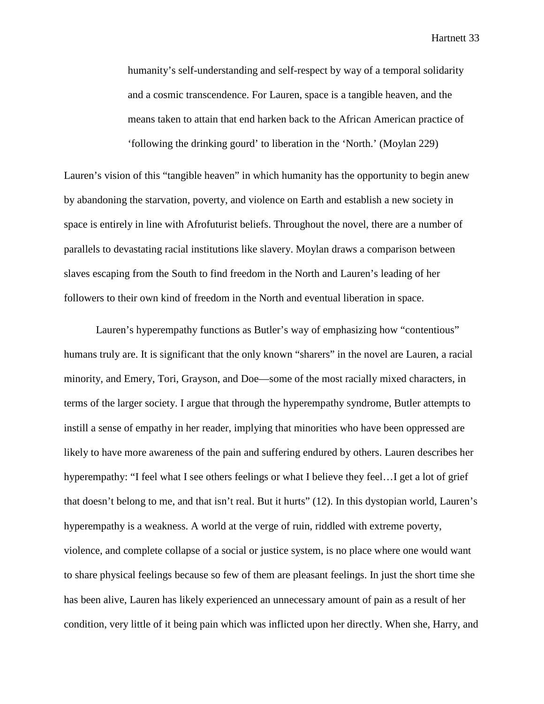humanity's self-understanding and self-respect by way of a temporal solidarity and a cosmic transcendence. For Lauren, space is a tangible heaven, and the means taken to attain that end harken back to the African American practice of 'following the drinking gourd' to liberation in the 'North.' (Moylan 229)

Lauren's vision of this "tangible heaven" in which humanity has the opportunity to begin anew by abandoning the starvation, poverty, and violence on Earth and establish a new society in space is entirely in line with Afrofuturist beliefs. Throughout the novel, there are a number of parallels to devastating racial institutions like slavery. Moylan draws a comparison between slaves escaping from the South to find freedom in the North and Lauren's leading of her followers to their own kind of freedom in the North and eventual liberation in space.

Lauren's hyperempathy functions as Butler's way of emphasizing how "contentious" humans truly are. It is significant that the only known "sharers" in the novel are Lauren, a racial minority, and Emery, Tori, Grayson, and Doe—some of the most racially mixed characters, in terms of the larger society. I argue that through the hyperempathy syndrome, Butler attempts to instill a sense of empathy in her reader, implying that minorities who have been oppressed are likely to have more awareness of the pain and suffering endured by others. Lauren describes her hyperempathy: "I feel what I see others feelings or what I believe they feel…I get a lot of grief that doesn't belong to me, and that isn't real. But it hurts" (12). In this dystopian world, Lauren's hyperempathy is a weakness. A world at the verge of ruin, riddled with extreme poverty, violence, and complete collapse of a social or justice system, is no place where one would want to share physical feelings because so few of them are pleasant feelings. In just the short time she has been alive, Lauren has likely experienced an unnecessary amount of pain as a result of her condition, very little of it being pain which was inflicted upon her directly. When she, Harry, and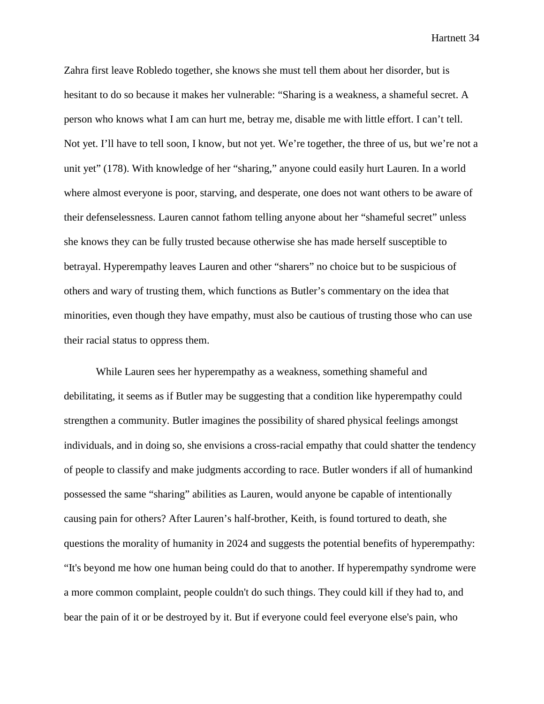Zahra first leave Robledo together, she knows she must tell them about her disorder, but is hesitant to do so because it makes her vulnerable: "Sharing is a weakness, a shameful secret. A person who knows what I am can hurt me, betray me, disable me with little effort. I can't tell. Not yet. I'll have to tell soon, I know, but not yet. We're together, the three of us, but we're not a unit yet" (178). With knowledge of her "sharing," anyone could easily hurt Lauren. In a world where almost everyone is poor, starving, and desperate, one does not want others to be aware of their defenselessness. Lauren cannot fathom telling anyone about her "shameful secret" unless she knows they can be fully trusted because otherwise she has made herself susceptible to betrayal. Hyperempathy leaves Lauren and other "sharers" no choice but to be suspicious of others and wary of trusting them, which functions as Butler's commentary on the idea that minorities, even though they have empathy, must also be cautious of trusting those who can use their racial status to oppress them.

While Lauren sees her hyperempathy as a weakness, something shameful and debilitating, it seems as if Butler may be suggesting that a condition like hyperempathy could strengthen a community. Butler imagines the possibility of shared physical feelings amongst individuals, and in doing so, she envisions a cross-racial empathy that could shatter the tendency of people to classify and make judgments according to race. Butler wonders if all of humankind possessed the same "sharing" abilities as Lauren, would anyone be capable of intentionally causing pain for others? After Lauren's half-brother, Keith, is found tortured to death, she questions the morality of humanity in 2024 and suggests the potential benefits of hyperempathy: "It's beyond me how one human being could do that to another. If hyperempathy syndrome were a more common complaint, people couldn't do such things. They could kill if they had to, and bear the pain of it or be destroyed by it. But if everyone could feel everyone else's pain, who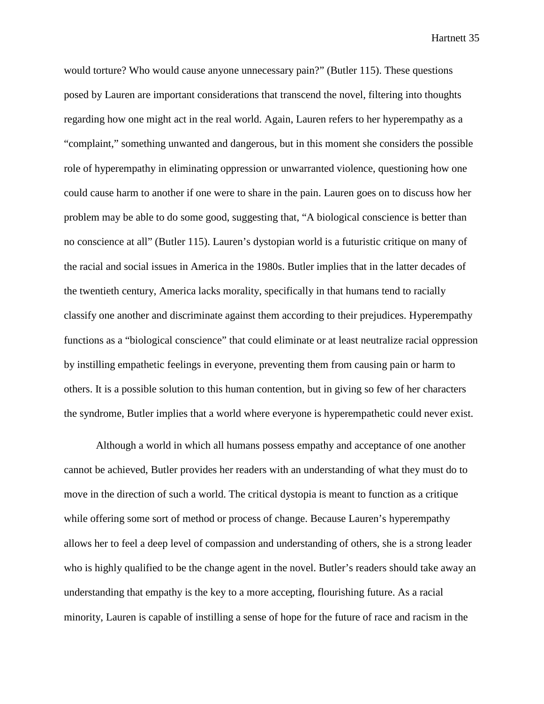would torture? Who would cause anyone unnecessary pain?" (Butler 115). These questions posed by Lauren are important considerations that transcend the novel, filtering into thoughts regarding how one might act in the real world. Again, Lauren refers to her hyperempathy as a "complaint," something unwanted and dangerous, but in this moment she considers the possible role of hyperempathy in eliminating oppression or unwarranted violence, questioning how one could cause harm to another if one were to share in the pain. Lauren goes on to discuss how her problem may be able to do some good, suggesting that, "A biological conscience is better than no conscience at all" (Butler 115). Lauren's dystopian world is a futuristic critique on many of the racial and social issues in America in the 1980s. Butler implies that in the latter decades of the twentieth century, America lacks morality, specifically in that humans tend to racially classify one another and discriminate against them according to their prejudices. Hyperempathy functions as a "biological conscience" that could eliminate or at least neutralize racial oppression by instilling empathetic feelings in everyone, preventing them from causing pain or harm to others. It is a possible solution to this human contention, but in giving so few of her characters the syndrome, Butler implies that a world where everyone is hyperempathetic could never exist.

Although a world in which all humans possess empathy and acceptance of one another cannot be achieved, Butler provides her readers with an understanding of what they must do to move in the direction of such a world. The critical dystopia is meant to function as a critique while offering some sort of method or process of change. Because Lauren's hyperempathy allows her to feel a deep level of compassion and understanding of others, she is a strong leader who is highly qualified to be the change agent in the novel. Butler's readers should take away an understanding that empathy is the key to a more accepting, flourishing future. As a racial minority, Lauren is capable of instilling a sense of hope for the future of race and racism in the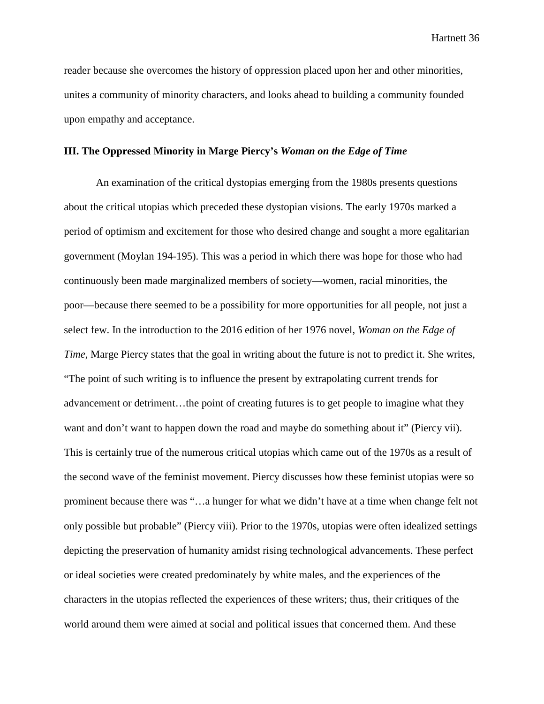reader because she overcomes the history of oppression placed upon her and other minorities, unites a community of minority characters, and looks ahead to building a community founded upon empathy and acceptance.

## **III. The Oppressed Minority in Marge Piercy's** *Woman on the Edge of Time*

An examination of the critical dystopias emerging from the 1980s presents questions about the critical utopias which preceded these dystopian visions. The early 1970s marked a period of optimism and excitement for those who desired change and sought a more egalitarian government (Moylan 194-195). This was a period in which there was hope for those who had continuously been made marginalized members of society—women, racial minorities, the poor—because there seemed to be a possibility for more opportunities for all people, not just a select few. In the introduction to the 2016 edition of her 1976 novel, *Woman on the Edge of Time*, Marge Piercy states that the goal in writing about the future is not to predict it. She writes, "The point of such writing is to influence the present by extrapolating current trends for advancement or detriment…the point of creating futures is to get people to imagine what they want and don't want to happen down the road and maybe do something about it" (Piercy vii). This is certainly true of the numerous critical utopias which came out of the 1970s as a result of the second wave of the feminist movement. Piercy discusses how these feminist utopias were so prominent because there was "…a hunger for what we didn't have at a time when change felt not only possible but probable" (Piercy viii). Prior to the 1970s, utopias were often idealized settings depicting the preservation of humanity amidst rising technological advancements. These perfect or ideal societies were created predominately by white males, and the experiences of the characters in the utopias reflected the experiences of these writers; thus, their critiques of the world around them were aimed at social and political issues that concerned them. And these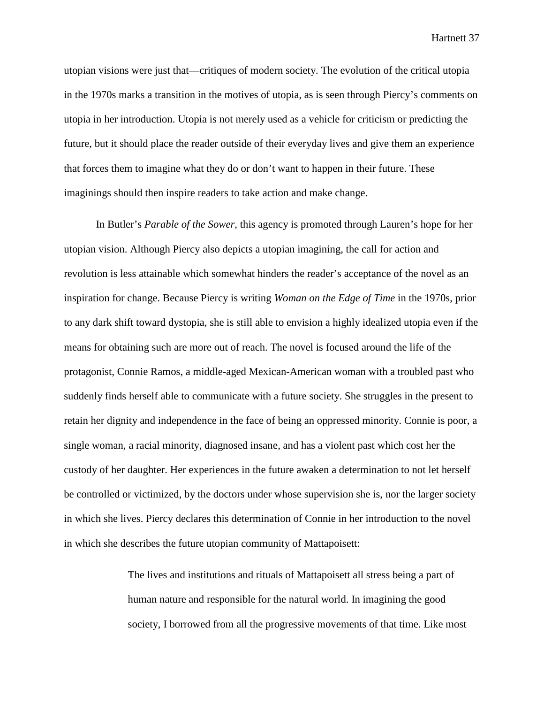utopian visions were just that—critiques of modern society. The evolution of the critical utopia in the 1970s marks a transition in the motives of utopia, as is seen through Piercy's comments on utopia in her introduction. Utopia is not merely used as a vehicle for criticism or predicting the future, but it should place the reader outside of their everyday lives and give them an experience that forces them to imagine what they do or don't want to happen in their future. These imaginings should then inspire readers to take action and make change.

In Butler's *Parable of the Sower,* this agency is promoted through Lauren's hope for her utopian vision. Although Piercy also depicts a utopian imagining, the call for action and revolution is less attainable which somewhat hinders the reader's acceptance of the novel as an inspiration for change. Because Piercy is writing *Woman on the Edge of Time* in the 1970s, prior to any dark shift toward dystopia, she is still able to envision a highly idealized utopia even if the means for obtaining such are more out of reach. The novel is focused around the life of the protagonist, Connie Ramos, a middle-aged Mexican-American woman with a troubled past who suddenly finds herself able to communicate with a future society. She struggles in the present to retain her dignity and independence in the face of being an oppressed minority. Connie is poor, a single woman, a racial minority, diagnosed insane, and has a violent past which cost her the custody of her daughter. Her experiences in the future awaken a determination to not let herself be controlled or victimized, by the doctors under whose supervision she is, nor the larger society in which she lives. Piercy declares this determination of Connie in her introduction to the novel in which she describes the future utopian community of Mattapoisett:

> The lives and institutions and rituals of Mattapoisett all stress being a part of human nature and responsible for the natural world. In imagining the good society, I borrowed from all the progressive movements of that time. Like most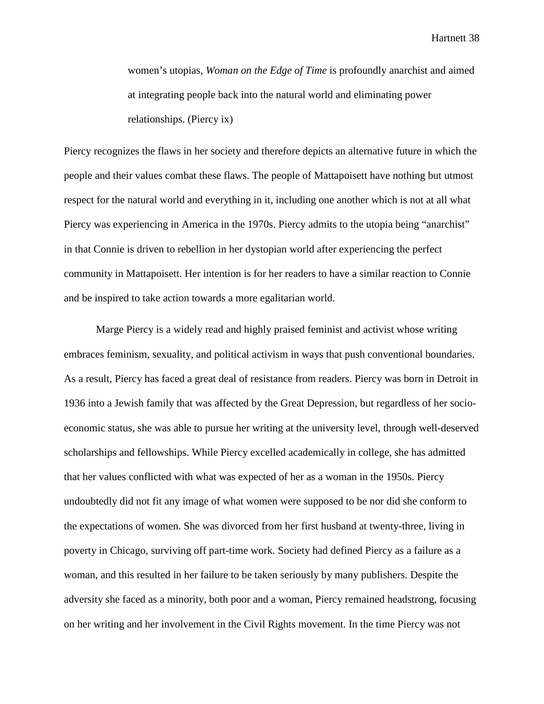women's utopias, *Woman on the Edge of Time* is profoundly anarchist and aimed at integrating people back into the natural world and eliminating power relationships. (Piercy ix)

Piercy recognizes the flaws in her society and therefore depicts an alternative future in which the people and their values combat these flaws. The people of Mattapoisett have nothing but utmost respect for the natural world and everything in it, including one another which is not at all what Piercy was experiencing in America in the 1970s. Piercy admits to the utopia being "anarchist" in that Connie is driven to rebellion in her dystopian world after experiencing the perfect community in Mattapoisett. Her intention is for her readers to have a similar reaction to Connie and be inspired to take action towards a more egalitarian world.

Marge Piercy is a widely read and highly praised feminist and activist whose writing embraces feminism, sexuality, and political activism in ways that push conventional boundaries. As a result, Piercy has faced a great deal of resistance from readers. Piercy was born in Detroit in 1936 into a Jewish family that was affected by the Great Depression, but regardless of her socioeconomic status, she was able to pursue her writing at the university level, through well-deserved scholarships and fellowships. While Piercy excelled academically in college, she has admitted that her values conflicted with what was expected of her as a woman in the 1950s. Piercy undoubtedly did not fit any image of what women were supposed to be nor did she conform to the expectations of women. She was divorced from her first husband at twenty-three, living in poverty in Chicago, surviving off part-time work. Society had defined Piercy as a failure as a woman, and this resulted in her failure to be taken seriously by many publishers. Despite the adversity she faced as a minority, both poor and a woman, Piercy remained headstrong, focusing on her writing and her involvement in the Civil Rights movement. In the time Piercy was not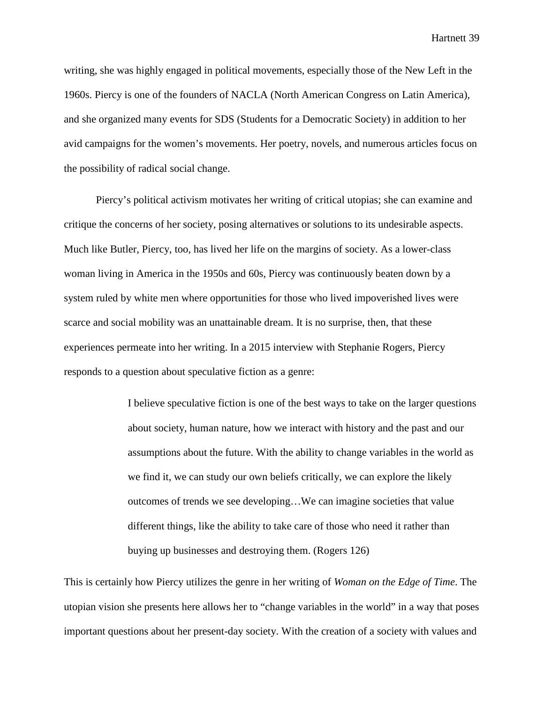writing, she was highly engaged in political movements, especially those of the New Left in the 1960s. Piercy is one of the founders of NACLA (North American Congress on Latin America), and she organized many events for SDS (Students for a Democratic Society) in addition to her avid campaigns for the women's movements. Her poetry, novels, and numerous articles focus on the possibility of radical social change.

Piercy's political activism motivates her writing of critical utopias; she can examine and critique the concerns of her society, posing alternatives or solutions to its undesirable aspects. Much like Butler, Piercy, too, has lived her life on the margins of society. As a lower-class woman living in America in the 1950s and 60s, Piercy was continuously beaten down by a system ruled by white men where opportunities for those who lived impoverished lives were scarce and social mobility was an unattainable dream. It is no surprise, then, that these experiences permeate into her writing. In a 2015 interview with Stephanie Rogers, Piercy responds to a question about speculative fiction as a genre:

> I believe speculative fiction is one of the best ways to take on the larger questions about society, human nature, how we interact with history and the past and our assumptions about the future. With the ability to change variables in the world as we find it, we can study our own beliefs critically, we can explore the likely outcomes of trends we see developing…We can imagine societies that value different things, like the ability to take care of those who need it rather than buying up businesses and destroying them. (Rogers 126)

This is certainly how Piercy utilizes the genre in her writing of *Woman on the Edge of Time*. The utopian vision she presents here allows her to "change variables in the world" in a way that poses important questions about her present-day society. With the creation of a society with values and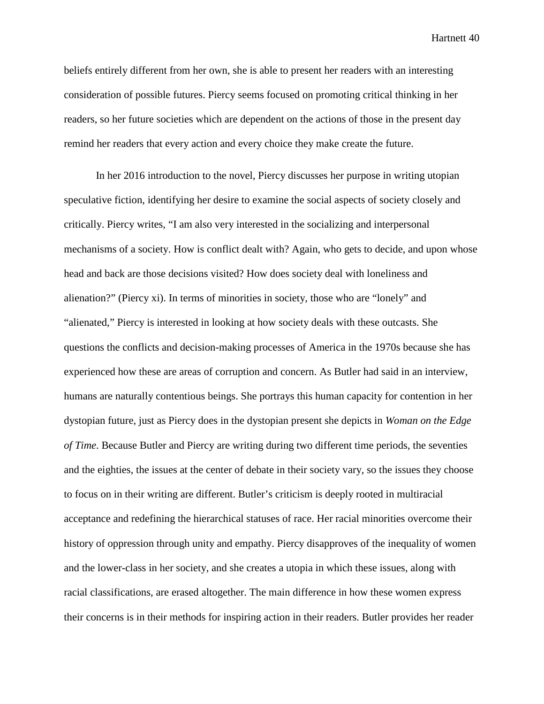beliefs entirely different from her own, she is able to present her readers with an interesting consideration of possible futures. Piercy seems focused on promoting critical thinking in her readers, so her future societies which are dependent on the actions of those in the present day remind her readers that every action and every choice they make create the future.

In her 2016 introduction to the novel, Piercy discusses her purpose in writing utopian speculative fiction, identifying her desire to examine the social aspects of society closely and critically. Piercy writes, "I am also very interested in the socializing and interpersonal mechanisms of a society. How is conflict dealt with? Again, who gets to decide, and upon whose head and back are those decisions visited? How does society deal with loneliness and alienation?" (Piercy xi). In terms of minorities in society, those who are "lonely" and "alienated," Piercy is interested in looking at how society deals with these outcasts. She questions the conflicts and decision-making processes of America in the 1970s because she has experienced how these are areas of corruption and concern. As Butler had said in an interview, humans are naturally contentious beings. She portrays this human capacity for contention in her dystopian future, just as Piercy does in the dystopian present she depicts in *Woman on the Edge of Time*. Because Butler and Piercy are writing during two different time periods, the seventies and the eighties, the issues at the center of debate in their society vary, so the issues they choose to focus on in their writing are different. Butler's criticism is deeply rooted in multiracial acceptance and redefining the hierarchical statuses of race. Her racial minorities overcome their history of oppression through unity and empathy. Piercy disapproves of the inequality of women and the lower-class in her society, and she creates a utopia in which these issues, along with racial classifications, are erased altogether. The main difference in how these women express their concerns is in their methods for inspiring action in their readers. Butler provides her reader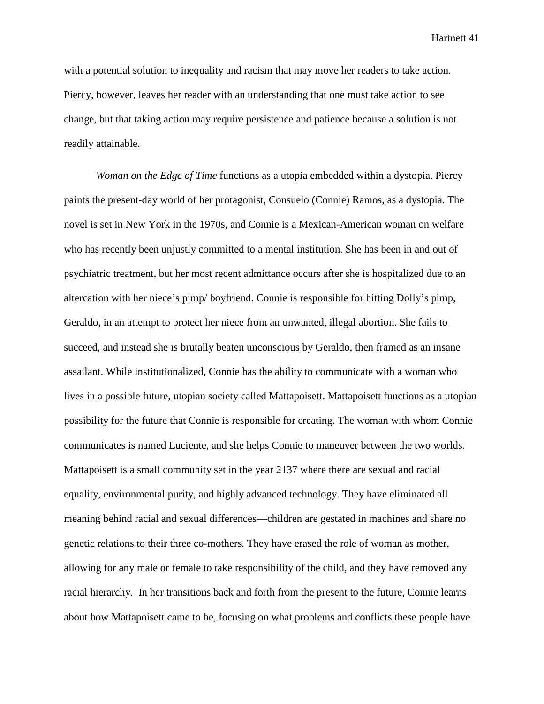with a potential solution to inequality and racism that may move her readers to take action. Piercy, however, leaves her reader with an understanding that one must take action to see change, but that taking action may require persistence and patience because a solution is not readily attainable.

*Woman on the Edge of Time* functions as a utopia embedded within a dystopia. Piercy paints the present-day world of her protagonist, Consuelo (Connie) Ramos, as a dystopia. The novel is set in New York in the 1970s, and Connie is a Mexican-American woman on welfare who has recently been unjustly committed to a mental institution. She has been in and out of psychiatric treatment, but her most recent admittance occurs after she is hospitalized due to an altercation with her niece's pimp/ boyfriend. Connie is responsible for hitting Dolly's pimp, Geraldo, in an attempt to protect her niece from an unwanted, illegal abortion. She fails to succeed, and instead she is brutally beaten unconscious by Geraldo, then framed as an insane assailant. While institutionalized, Connie has the ability to communicate with a woman who lives in a possible future, utopian society called Mattapoisett. Mattapoisett functions as a utopian possibility for the future that Connie is responsible for creating. The woman with whom Connie communicates is named Luciente, and she helps Connie to maneuver between the two worlds. Mattapoisett is a small community set in the year 2137 where there are sexual and racial equality, environmental purity, and highly advanced technology. They have eliminated all meaning behind racial and sexual differences—children are gestated in machines and share no genetic relations to their three co-mothers. They have erased the role of woman as mother, allowing for any male or female to take responsibility of the child, and they have removed any racial hierarchy. In her transitions back and forth from the present to the future, Connie learns about how Mattapoisett came to be, focusing on what problems and conflicts these people have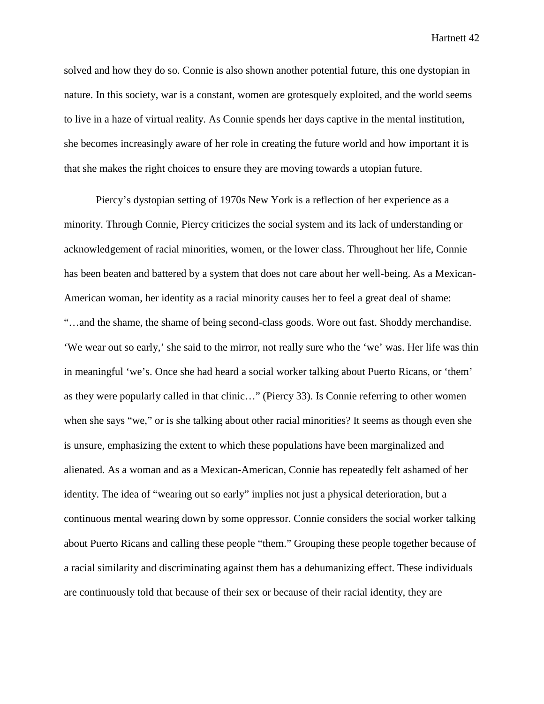solved and how they do so. Connie is also shown another potential future, this one dystopian in nature. In this society, war is a constant, women are grotesquely exploited, and the world seems to live in a haze of virtual reality. As Connie spends her days captive in the mental institution, she becomes increasingly aware of her role in creating the future world and how important it is that she makes the right choices to ensure they are moving towards a utopian future.

Piercy's dystopian setting of 1970s New York is a reflection of her experience as a minority. Through Connie, Piercy criticizes the social system and its lack of understanding or acknowledgement of racial minorities, women, or the lower class. Throughout her life, Connie has been beaten and battered by a system that does not care about her well-being. As a Mexican-American woman, her identity as a racial minority causes her to feel a great deal of shame: "…and the shame, the shame of being second-class goods. Wore out fast. Shoddy merchandise. 'We wear out so early,' she said to the mirror, not really sure who the 'we' was. Her life was thin in meaningful 'we's. Once she had heard a social worker talking about Puerto Ricans, or 'them' as they were popularly called in that clinic…" (Piercy 33). Is Connie referring to other women when she says "we," or is she talking about other racial minorities? It seems as though even she is unsure, emphasizing the extent to which these populations have been marginalized and alienated. As a woman and as a Mexican-American, Connie has repeatedly felt ashamed of her identity. The idea of "wearing out so early" implies not just a physical deterioration, but a continuous mental wearing down by some oppressor. Connie considers the social worker talking about Puerto Ricans and calling these people "them." Grouping these people together because of a racial similarity and discriminating against them has a dehumanizing effect. These individuals are continuously told that because of their sex or because of their racial identity, they are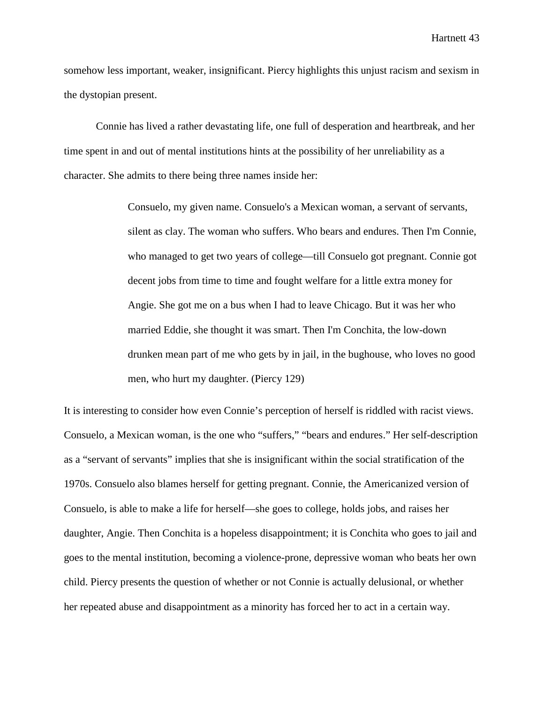somehow less important, weaker, insignificant. Piercy highlights this unjust racism and sexism in the dystopian present.

Connie has lived a rather devastating life, one full of desperation and heartbreak, and her time spent in and out of mental institutions hints at the possibility of her unreliability as a character. She admits to there being three names inside her:

> Consuelo, my given name. Consuelo's a Mexican woman, a servant of servants, silent as clay. The woman who suffers. Who bears and endures. Then I'm Connie, who managed to get two years of college—till Consuelo got pregnant. Connie got decent jobs from time to time and fought welfare for a little extra money for Angie. She got me on a bus when I had to leave Chicago. But it was her who married Eddie, she thought it was smart. Then I'm Conchita, the low-down drunken mean part of me who gets by in jail, in the bughouse, who loves no good men, who hurt my daughter. (Piercy 129)

It is interesting to consider how even Connie's perception of herself is riddled with racist views. Consuelo, a Mexican woman, is the one who "suffers," "bears and endures." Her self-description as a "servant of servants" implies that she is insignificant within the social stratification of the 1970s. Consuelo also blames herself for getting pregnant. Connie, the Americanized version of Consuelo, is able to make a life for herself—she goes to college, holds jobs, and raises her daughter, Angie. Then Conchita is a hopeless disappointment; it is Conchita who goes to jail and goes to the mental institution, becoming a violence-prone, depressive woman who beats her own child. Piercy presents the question of whether or not Connie is actually delusional, or whether her repeated abuse and disappointment as a minority has forced her to act in a certain way.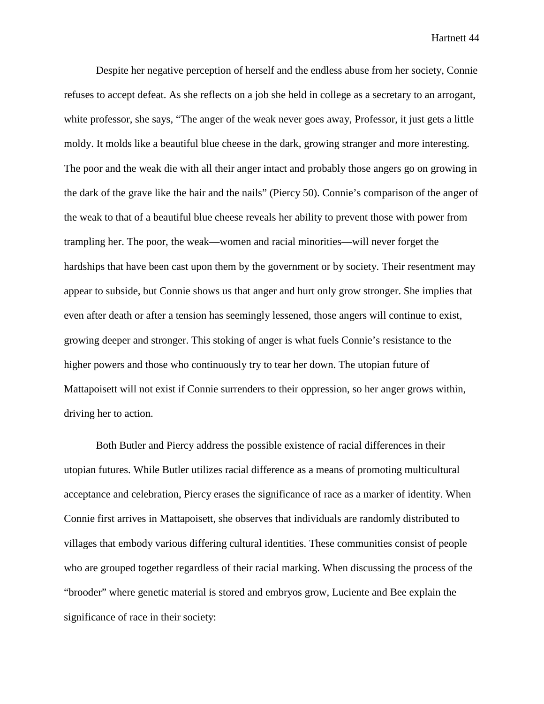Despite her negative perception of herself and the endless abuse from her society, Connie refuses to accept defeat. As she reflects on a job she held in college as a secretary to an arrogant, white professor, she says, "The anger of the weak never goes away, Professor, it just gets a little moldy. It molds like a beautiful blue cheese in the dark, growing stranger and more interesting. The poor and the weak die with all their anger intact and probably those angers go on growing in the dark of the grave like the hair and the nails" (Piercy 50). Connie's comparison of the anger of the weak to that of a beautiful blue cheese reveals her ability to prevent those with power from trampling her. The poor, the weak—women and racial minorities—will never forget the hardships that have been cast upon them by the government or by society. Their resentment may appear to subside, but Connie shows us that anger and hurt only grow stronger. She implies that even after death or after a tension has seemingly lessened, those angers will continue to exist, growing deeper and stronger. This stoking of anger is what fuels Connie's resistance to the higher powers and those who continuously try to tear her down. The utopian future of Mattapoisett will not exist if Connie surrenders to their oppression, so her anger grows within, driving her to action.

Both Butler and Piercy address the possible existence of racial differences in their utopian futures. While Butler utilizes racial difference as a means of promoting multicultural acceptance and celebration, Piercy erases the significance of race as a marker of identity. When Connie first arrives in Mattapoisett, she observes that individuals are randomly distributed to villages that embody various differing cultural identities. These communities consist of people who are grouped together regardless of their racial marking. When discussing the process of the "brooder" where genetic material is stored and embryos grow, Luciente and Bee explain the significance of race in their society: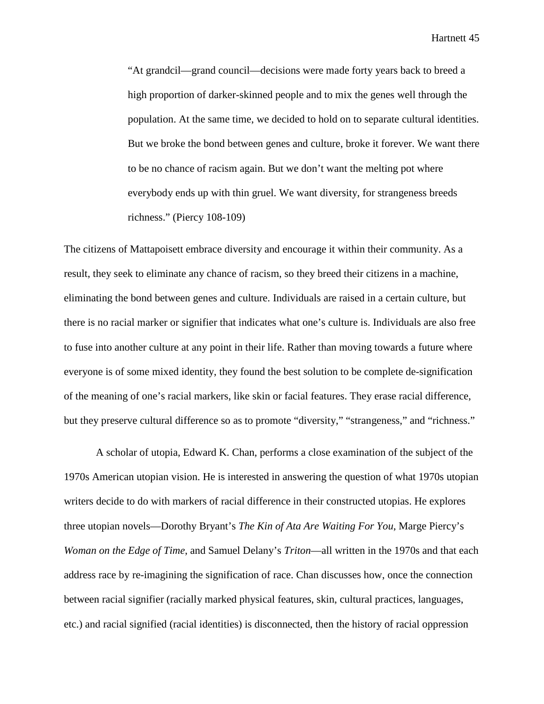"At grandcil—grand council—decisions were made forty years back to breed a high proportion of darker-skinned people and to mix the genes well through the population. At the same time, we decided to hold on to separate cultural identities. But we broke the bond between genes and culture, broke it forever. We want there to be no chance of racism again. But we don't want the melting pot where everybody ends up with thin gruel. We want diversity, for strangeness breeds richness." (Piercy 108-109)

The citizens of Mattapoisett embrace diversity and encourage it within their community. As a result, they seek to eliminate any chance of racism, so they breed their citizens in a machine, eliminating the bond between genes and culture. Individuals are raised in a certain culture, but there is no racial marker or signifier that indicates what one's culture is. Individuals are also free to fuse into another culture at any point in their life. Rather than moving towards a future where everyone is of some mixed identity, they found the best solution to be complete de-signification of the meaning of one's racial markers, like skin or facial features. They erase racial difference, but they preserve cultural difference so as to promote "diversity," "strangeness," and "richness."

A scholar of utopia, Edward K. Chan, performs a close examination of the subject of the 1970s American utopian vision. He is interested in answering the question of what 1970s utopian writers decide to do with markers of racial difference in their constructed utopias. He explores three utopian novels—Dorothy Bryant's *The Kin of Ata Are Waiting For You*, Marge Piercy's *Woman on the Edge of Time*, and Samuel Delany's *Triton*—all written in the 1970s and that each address race by re-imagining the signification of race. Chan discusses how, once the connection between racial signifier (racially marked physical features, skin, cultural practices, languages, etc.) and racial signified (racial identities) is disconnected, then the history of racial oppression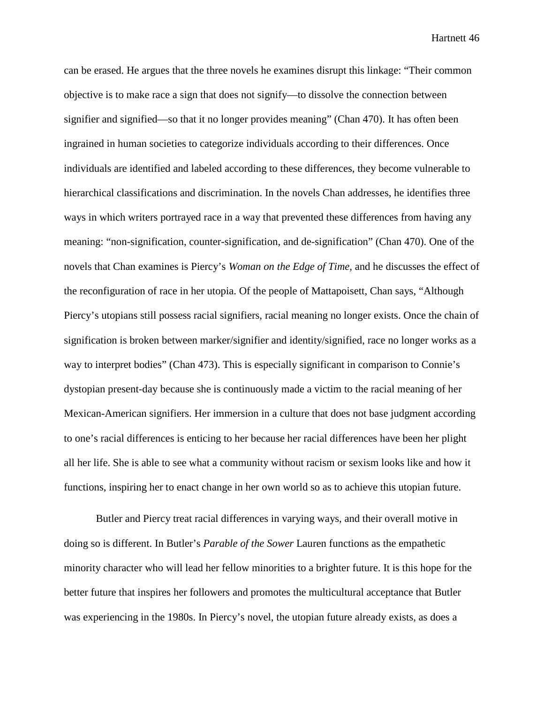can be erased. He argues that the three novels he examines disrupt this linkage: "Their common objective is to make race a sign that does not signify—to dissolve the connection between signifier and signified—so that it no longer provides meaning" (Chan 470). It has often been ingrained in human societies to categorize individuals according to their differences. Once individuals are identified and labeled according to these differences, they become vulnerable to hierarchical classifications and discrimination. In the novels Chan addresses, he identifies three ways in which writers portrayed race in a way that prevented these differences from having any meaning: "non-signification, counter-signification, and de-signification" (Chan 470). One of the novels that Chan examines is Piercy's *Woman on the Edge of Time*, and he discusses the effect of the reconfiguration of race in her utopia. Of the people of Mattapoisett, Chan says, "Although Piercy's utopians still possess racial signifiers, racial meaning no longer exists. Once the chain of signification is broken between marker/signifier and identity/signified, race no longer works as a way to interpret bodies" (Chan 473). This is especially significant in comparison to Connie's dystopian present-day because she is continuously made a victim to the racial meaning of her Mexican-American signifiers. Her immersion in a culture that does not base judgment according to one's racial differences is enticing to her because her racial differences have been her plight all her life. She is able to see what a community without racism or sexism looks like and how it functions, inspiring her to enact change in her own world so as to achieve this utopian future.

Butler and Piercy treat racial differences in varying ways, and their overall motive in doing so is different. In Butler's *Parable of the Sower* Lauren functions as the empathetic minority character who will lead her fellow minorities to a brighter future. It is this hope for the better future that inspires her followers and promotes the multicultural acceptance that Butler was experiencing in the 1980s. In Piercy's novel, the utopian future already exists, as does a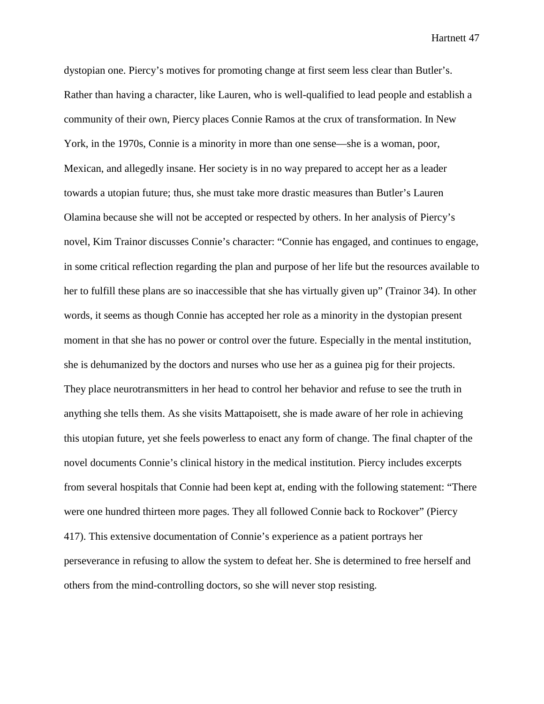dystopian one. Piercy's motives for promoting change at first seem less clear than Butler's. Rather than having a character, like Lauren, who is well-qualified to lead people and establish a community of their own, Piercy places Connie Ramos at the crux of transformation. In New York, in the 1970s, Connie is a minority in more than one sense—she is a woman, poor, Mexican, and allegedly insane. Her society is in no way prepared to accept her as a leader towards a utopian future; thus, she must take more drastic measures than Butler's Lauren Olamina because she will not be accepted or respected by others. In her analysis of Piercy's novel, Kim Trainor discusses Connie's character: "Connie has engaged, and continues to engage, in some critical reflection regarding the plan and purpose of her life but the resources available to her to fulfill these plans are so inaccessible that she has virtually given up" (Trainor 34). In other words, it seems as though Connie has accepted her role as a minority in the dystopian present moment in that she has no power or control over the future. Especially in the mental institution, she is dehumanized by the doctors and nurses who use her as a guinea pig for their projects. They place neurotransmitters in her head to control her behavior and refuse to see the truth in anything she tells them. As she visits Mattapoisett, she is made aware of her role in achieving this utopian future, yet she feels powerless to enact any form of change. The final chapter of the novel documents Connie's clinical history in the medical institution. Piercy includes excerpts from several hospitals that Connie had been kept at, ending with the following statement: "There were one hundred thirteen more pages. They all followed Connie back to Rockover" (Piercy 417). This extensive documentation of Connie's experience as a patient portrays her perseverance in refusing to allow the system to defeat her. She is determined to free herself and others from the mind-controlling doctors, so she will never stop resisting.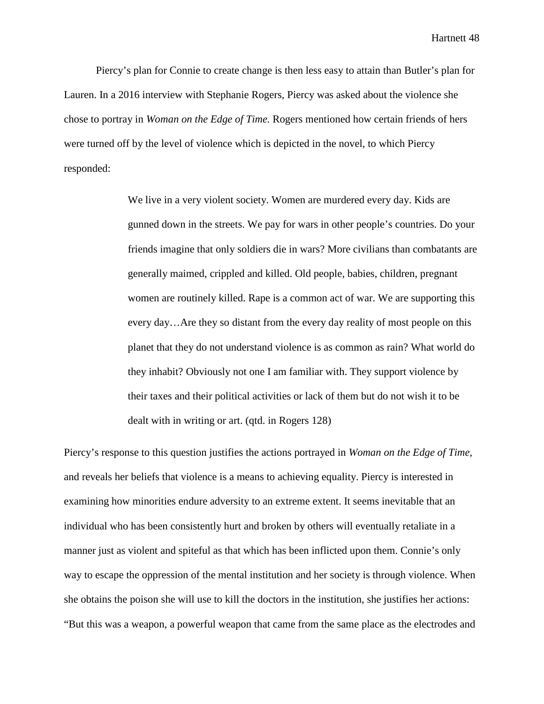Piercy's plan for Connie to create change is then less easy to attain than Butler's plan for Lauren. In a 2016 interview with Stephanie Rogers, Piercy was asked about the violence she chose to portray in *Woman on the Edge of Time.* Rogers mentioned how certain friends of hers were turned off by the level of violence which is depicted in the novel, to which Piercy responded:

> We live in a very violent society. Women are murdered every day. Kids are gunned down in the streets. We pay for wars in other people's countries. Do your friends imagine that only soldiers die in wars? More civilians than combatants are generally maimed, crippled and killed. Old people, babies, children, pregnant women are routinely killed. Rape is a common act of war. We are supporting this every day…Are they so distant from the every day reality of most people on this planet that they do not understand violence is as common as rain? What world do they inhabit? Obviously not one I am familiar with. They support violence by their taxes and their political activities or lack of them but do not wish it to be dealt with in writing or art. (qtd. in Rogers 128)

Piercy's response to this question justifies the actions portrayed in *Woman on the Edge of Time*, and reveals her beliefs that violence is a means to achieving equality. Piercy is interested in examining how minorities endure adversity to an extreme extent. It seems inevitable that an individual who has been consistently hurt and broken by others will eventually retaliate in a manner just as violent and spiteful as that which has been inflicted upon them. Connie's only way to escape the oppression of the mental institution and her society is through violence. When she obtains the poison she will use to kill the doctors in the institution, she justifies her actions: "But this was a weapon, a powerful weapon that came from the same place as the electrodes and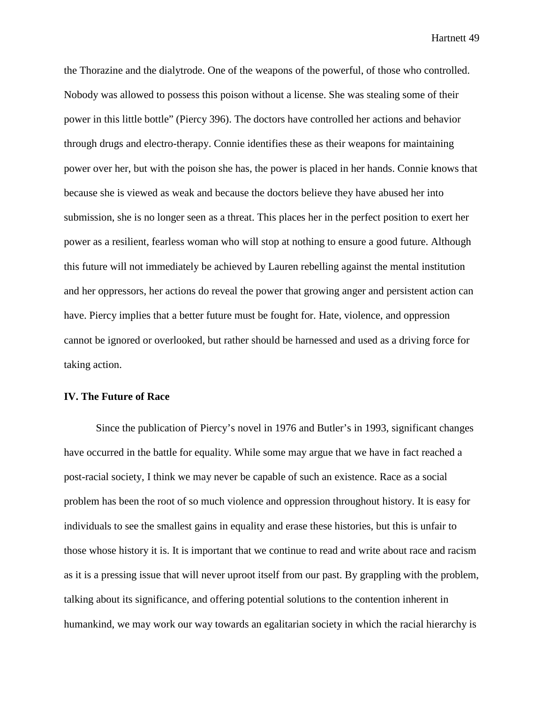the Thorazine and the dialytrode. One of the weapons of the powerful, of those who controlled. Nobody was allowed to possess this poison without a license. She was stealing some of their power in this little bottle" (Piercy 396). The doctors have controlled her actions and behavior through drugs and electro-therapy. Connie identifies these as their weapons for maintaining power over her, but with the poison she has, the power is placed in her hands. Connie knows that because she is viewed as weak and because the doctors believe they have abused her into submission, she is no longer seen as a threat. This places her in the perfect position to exert her power as a resilient, fearless woman who will stop at nothing to ensure a good future. Although this future will not immediately be achieved by Lauren rebelling against the mental institution and her oppressors, her actions do reveal the power that growing anger and persistent action can have. Piercy implies that a better future must be fought for. Hate, violence, and oppression cannot be ignored or overlooked, but rather should be harnessed and used as a driving force for taking action.

## **IV. The Future of Race**

Since the publication of Piercy's novel in 1976 and Butler's in 1993, significant changes have occurred in the battle for equality. While some may argue that we have in fact reached a post-racial society, I think we may never be capable of such an existence. Race as a social problem has been the root of so much violence and oppression throughout history. It is easy for individuals to see the smallest gains in equality and erase these histories, but this is unfair to those whose history it is. It is important that we continue to read and write about race and racism as it is a pressing issue that will never uproot itself from our past. By grappling with the problem, talking about its significance, and offering potential solutions to the contention inherent in humankind, we may work our way towards an egalitarian society in which the racial hierarchy is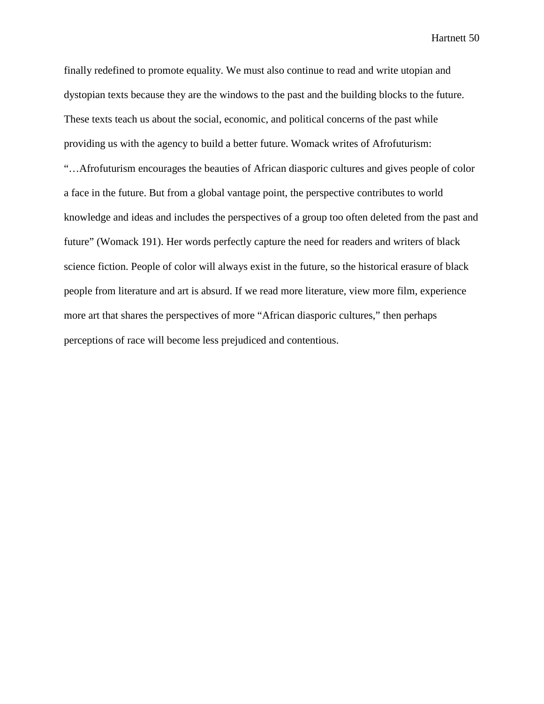finally redefined to promote equality. We must also continue to read and write utopian and dystopian texts because they are the windows to the past and the building blocks to the future. These texts teach us about the social, economic, and political concerns of the past while providing us with the agency to build a better future. Womack writes of Afrofuturism: "…Afrofuturism encourages the beauties of African diasporic cultures and gives people of color a face in the future. But from a global vantage point, the perspective contributes to world knowledge and ideas and includes the perspectives of a group too often deleted from the past and future" (Womack 191). Her words perfectly capture the need for readers and writers of black science fiction. People of color will always exist in the future, so the historical erasure of black people from literature and art is absurd. If we read more literature, view more film, experience more art that shares the perspectives of more "African diasporic cultures," then perhaps perceptions of race will become less prejudiced and contentious.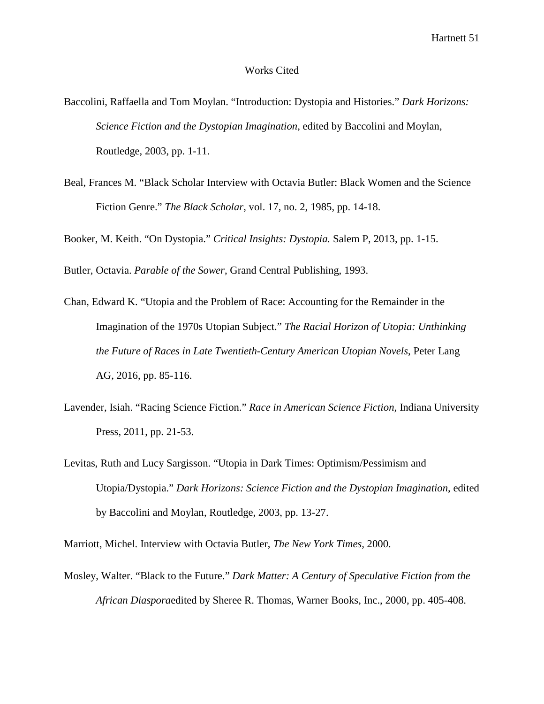## Works Cited

- Baccolini, Raffaella and Tom Moylan. "Introduction: Dystopia and Histories." *Dark Horizons: Science Fiction and the Dystopian Imagination*, edited by Baccolini and Moylan, Routledge, 2003, pp. 1-11.
- Beal, Frances M. "Black Scholar Interview with Octavia Butler: Black Women and the Science Fiction Genre." *The Black Scholar*, vol. 17, no. 2, 1985, pp. 14-18.

Booker, M. Keith. "On Dystopia." *Critical Insights: Dystopia.* Salem P, 2013, pp. 1-15.

Butler, Octavia. *Parable of the Sower*, Grand Central Publishing, 1993.

- Chan, Edward K. "Utopia and the Problem of Race: Accounting for the Remainder in the Imagination of the 1970s Utopian Subject." *The Racial Horizon of Utopia: Unthinking the Future of Races in Late Twentieth-Century American Utopian Novels*, Peter Lang AG, 2016, pp. 85-116.
- Lavender, Isiah. "Racing Science Fiction." *Race in American Science Fiction,* Indiana University Press, 2011, pp. 21-53.
- Levitas, Ruth and Lucy Sargisson. "Utopia in Dark Times: Optimism/Pessimism and Utopia/Dystopia." *Dark Horizons: Science Fiction and the Dystopian Imagination*, edited by Baccolini and Moylan, Routledge, 2003, pp. 13-27.

Marriott, Michel. Interview with Octavia Butler, *The New York Times,* 2000.

Mosley, Walter. "Black to the Future." *Dark Matter: A Century of Speculative Fiction from the African Diaspora*edited by Sheree R. Thomas, Warner Books, Inc., 2000, pp. 405-408.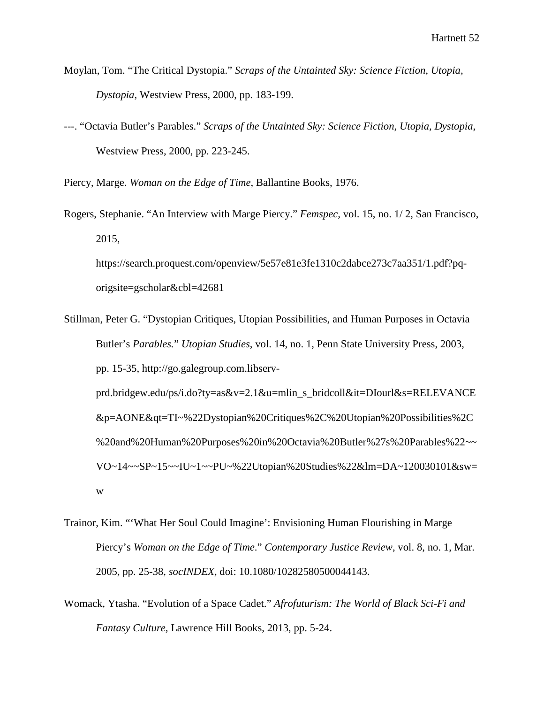- Moylan, Tom. "The Critical Dystopia." *Scraps of the Untainted Sky: Science Fiction, Utopia, Dystopia*, Westview Press, 2000, pp. 183-199.
- ---. "Octavia Butler's Parables." *Scraps of the Untainted Sky: Science Fiction, Utopia, Dystopia*, Westview Press, 2000, pp. 223-245.

Piercy, Marge. *Woman on the Edge of Time*, Ballantine Books, 1976.

Rogers, Stephanie. "An Interview with Marge Piercy." *Femspec,* vol. 15, no. 1/ 2, San Francisco, 2015,

https://search.proquest.com/openview/5e57e81e3fe1310c2dabce273c7aa351/1.pdf?pqorigsite=gscholar&cbl=42681

- Stillman, Peter G. "Dystopian Critiques, Utopian Possibilities, and Human Purposes in Octavia Butler's *Parables.*" *Utopian Studies*, vol. 14, no. 1, Penn State University Press, 2003, pp. 15-35, http://go.galegroup.com.libservprd.bridgew.edu/ps/i.do?ty=as&v=2.1&u=mlin\_s\_bridcoll&it=DIourl&s=RELEVANCE &p=AONE&qt=TI~%22Dystopian%20Critiques%2C%20Utopian%20Possibilities%2C %20and%20Human%20Purposes%20in%20Octavia%20Butler%27s%20Parables%22~~ VO~14~~SP~15~~IU~1~~PU~%22Utopian%20Studies%22&lm=DA~120030101&sw= w
- Trainor, Kim. "'What Her Soul Could Imagine': Envisioning Human Flourishing in Marge Piercy's *Woman on the Edge of Time*." *Contemporary Justice Review*, vol. 8, no. 1, Mar. 2005, pp. 25-38, *socINDEX*, doi: 10.1080/10282580500044143.
- Womack, Ytasha. "Evolution of a Space Cadet." *Afrofuturism: The World of Black Sci-Fi and Fantasy Culture,* Lawrence Hill Books, 2013, pp. 5-24.